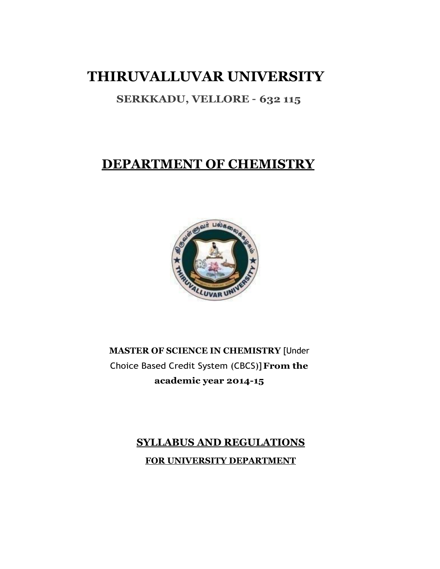# **THIRUVALLUVAR UNIVERSITY**

# **SERKKADU, VELLORE – 632 115**

# **DEPARTMENT OF CHEMISTRY**



# **MASTER OF SCIENCE IN CHEMISTRY** [Under Choice Based Credit System (CBCS)]**From the academic year 2014-15**

# **SYLLABUS AND REGULATIONS FOR UNIVERSITY DEPARTMENT**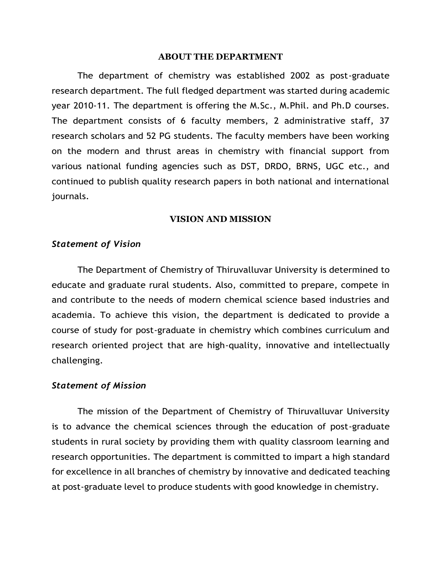#### **ABOUT THE DEPARTMENT**

The department of chemistry was established 2002 as post-graduate research department. The full fledged department was started during academic year 2010-11. The department is offering the M.Sc., M.Phil. and Ph.D courses. The department consists of 6 faculty members, 2 administrative staff, 37 research scholars and 52 PG students. The faculty members have been working on the modern and thrust areas in chemistry with financial support from various national funding agencies such as DST, DRDO, BRNS, UGC etc., and continued to publish quality research papers in both national and international journals.

## **VISION AND MISSION**

#### *Statement of Vision*

The Department of Chemistry of Thiruvalluvar University is determined to educate and graduate rural students. Also, committed to prepare, compete in and contribute to the needs of modern chemical science based industries and academia. To achieve this vision, the department is dedicated to provide a course of study for post-graduate in chemistry which combines curriculum and research oriented project that are high-quality, innovative and intellectually challenging.

#### *Statement of Mission*

The mission of the Department of Chemistry of Thiruvalluvar University is to advance the chemical sciences through the education of post-graduate students in rural society by providing them with quality classroom learning and research opportunities. The department is committed to impart a high standard for excellence in all branches of chemistry by innovative and dedicated teaching at post-graduate level to produce students with good knowledge in chemistry.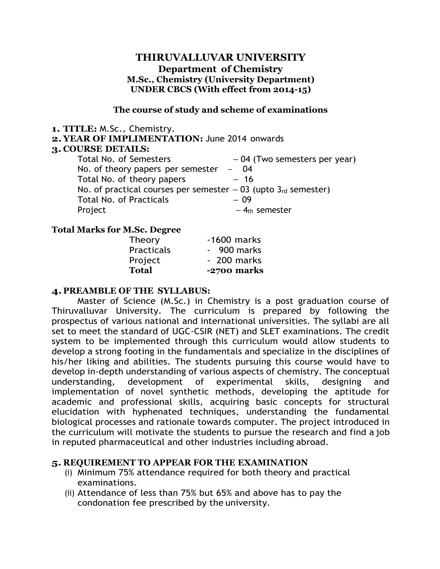# **THIRUVALLUVAR UNIVERSITY Department of Chemistry M.Sc., Chemistry (University Department) UNDER CBCS (With effect from 2014-15)**

#### **The course of study and scheme of examinations**

#### **1. TITLE:** M.Sc., Chemistry.

**2. YEAR OF IMPLIMENTATION:** June 2014 onwards

#### **3. COURSE DETAILS:**

| Total No. of Semesters                                            | $-04$ (Two semesters per year) |
|-------------------------------------------------------------------|--------------------------------|
| No. of theory papers per semester                                 | $- 04$                         |
| Total No. of theory papers                                        | $-16$                          |
| No. of practical courses per semester $-03$ (upto $3rd$ semester) |                                |
| <b>Total No. of Practicals</b>                                    | $-09$                          |
| Project                                                           | $-4th$ semester                |
|                                                                   |                                |

## **Total Marks for M.Sc. Degree**

| Theory            | $-1600$ marks |
|-------------------|---------------|
| <b>Practicals</b> | - 900 marks   |
| Project           | - 200 marks   |
| <b>Total</b>      | -2700 marks   |

## **4.PREAMBLE OF THE SYLLABUS:**

Master of Science (M.Sc.) in Chemistry is a post graduation course of Thiruvalluvar University. The curriculum is prepared by following the prospectus of various national and international universities. The syllabi are all set to meet the standard of UGC-CSIR (NET) and SLET examinations. The credit system to be implemented through this curriculum would allow students to develop a strong footing in the fundamentals and specialize in the disciplines of his/her liking and abilities. The students pursuing this course would have to develop in-depth understanding of various aspects of chemistry. The conceptual understanding, development of experimental skills, designing and implementation of novel synthetic methods, developing the aptitude for academic and professional skills, acquiring basic concepts for structural elucidation with hyphenated techniques, understanding the fundamental biological processes and rationale towards computer. The project introduced in the curriculum will motivate the students to pursue the research and find a job in reputed pharmaceutical and other industries including abroad.

## **5. REQUIREMENT TO APPEAR FOR THE EXAMINATION**

- (i) Minimum 75% attendance required for both theory and practical examinations.
- (ii) Attendance of less than 75% but 65% and above has to pay the condonation fee prescribed by the university.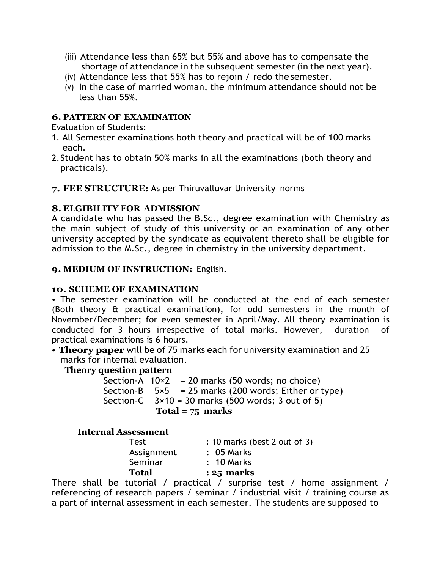- (iii) Attendance less than 65% but 55% and above has to compensate the shortage of attendance in the subsequent semester (in the next year).
- (iv) Attendance less that 55% has to rejoin / redo thesemester.
- (v) In the case of married woman, the minimum attendance should not be less than 55%.

# **6. PATTERN OF EXAMINATION**

Evaluation of Students:

- 1. All Semester examinations both theory and practical will be of 100 marks each.
- 2.Student has to obtain 50% marks in all the examinations (both theory and practicals).
- **7. FEE STRUCTURE:** As per Thiruvalluvar University norms

# **8. ELGIBILITY FOR ADMISSION**

A candidate who has passed the B.Sc., degree examination with Chemistry as the main subject of study of this university or an examination of any other university accepted by the syndicate as equivalent thereto shall be eligible for admission to the M.Sc., degree in chemistry in the university department.

# **9. MEDIUM OF INSTRUCTION:** English.

# **10. SCHEME OF EXAMINATION**

• The semester examination will be conducted at the end of each semester (Both theory & practical examination), for odd semesters in the month of November/December; for even semester in April/May. All theory examination is conducted for 3 hours irrespective of total marks. However, duration of practical examinations is 6 hours.

• **Theory paper** will be of 75 marks each for university examination and 25 marks for internal evaluation.

# **Theory question pattern**

| Total = $75$ marks |  |                                                             |  |  |  |
|--------------------|--|-------------------------------------------------------------|--|--|--|
|                    |  | Section-C $3\times10 = 30$ marks (500 words; 3 out of 5)    |  |  |  |
|                    |  | Section-B $5\times5$ = 25 marks (200 words; Either or type) |  |  |  |
|                    |  | Section-A $10\times2 = 20$ marks (50 words; no choice)      |  |  |  |

## **Internal Assessment**

| <b>Test</b>  | : 10 marks (best 2 out of 3) |
|--------------|------------------------------|
| Assignment   | $: 05$ Marks                 |
| Seminar      | $: 10$ Marks                 |
| <b>Total</b> | $: 25$ marks                 |
|              |                              |

There shall be tutorial / practical / surprise test / home assignment / referencing of research papers / seminar / industrial visit / training course as a part of internal assessment in each semester. The students are supposed to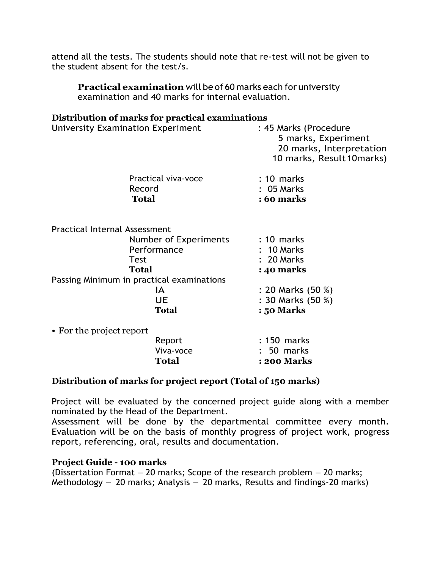attend all the tests. The students should note that re-test will not be given to the student absent for the test/s.

**Practical examination** will be of 60 marks each for university examination and 40 marks for internal evaluation.

#### **Distribution of marks for practical examinations**

| University Examination Experiment         | : 45 Marks (Procedure<br>5 marks, Experiment<br>20 marks, Interpretation<br>10 marks, Result 10 marks) |  |  |  |  |
|-------------------------------------------|--------------------------------------------------------------------------------------------------------|--|--|--|--|
| Practical viva-voce                       | $: 10$ marks                                                                                           |  |  |  |  |
| Record                                    | : 05 Marks                                                                                             |  |  |  |  |
| <b>Total</b>                              | : 60 marks                                                                                             |  |  |  |  |
| <b>Practical Internal Assessment</b>      |                                                                                                        |  |  |  |  |
| Number of Experiments                     | $: 10$ marks                                                                                           |  |  |  |  |
| Performance                               | $: 10$ Marks                                                                                           |  |  |  |  |
| Test                                      | : 20 Marks                                                                                             |  |  |  |  |
| Total                                     | : 40 marks                                                                                             |  |  |  |  |
| Passing Minimum in practical examinations |                                                                                                        |  |  |  |  |
| ΙA                                        | : 20 Marks (50 %)                                                                                      |  |  |  |  |
| <b>UE</b>                                 | : 30 Marks (50 %)                                                                                      |  |  |  |  |
| <b>Total</b>                              | : 50 Marks                                                                                             |  |  |  |  |
| • For the project report                  |                                                                                                        |  |  |  |  |

| Report    | $: 150$ marks      |
|-----------|--------------------|
| Viva-voce | $: 50$ marks       |
| Total     | <b>: 200 Marks</b> |

## **Distribution of marks for project report (Total of 150 marks)**

Project will be evaluated by the concerned project guide along with a member nominated by the Head of the Department.

Assessment will be done by the departmental committee every month. Evaluation will be on the basis of monthly progress of project work, progress report, referencing, oral, results and documentation.

# **Project Guide - 100 marks**

(Dissertation Format – 20 marks; Scope of the research problem – 20 marks; Methodology – 20 marks; Analysis – 20 marks, Results and findings-20 marks)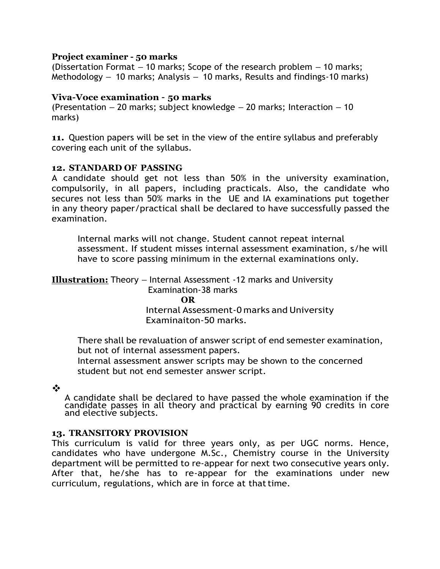#### **Project examiner - 50 marks**

(Dissertation Format – 10 marks; Scope of the research problem – 10 marks; Methodology – 10 marks; Analysis – 10 marks, Results and findings-10 marks)

#### **Viva-Voce examination – 50 marks**

(Presentation  $-20$  marks; subject knowledge  $-20$  marks; Interaction  $-10$ marks)

**11.** Question papers will be set in the view of the entire syllabus and preferably covering each unit of the syllabus.

#### **12. STANDARD OF PASSING**

A candidate should get not less than 50% in the university examination, compulsorily, in all papers, including practicals. Also, the candidate who secures not less than 50% marks in the UE and IA examinations put together in any theory paper/practical shall be declared to have successfully passed the examination.

Internal marks will not change. Student cannot repeat internal assessment. If student misses internal assessment examination, s/he will have to score passing minimum in the external examinations only.

# **Illustration:** Theory – Internal Assessment -12 marks and University

Examination-38 marks **OR** Internal Assessment-0 marks and University Examinaiton-50 marks.

There shall be revaluation of answer script of end semester examination, but not of internal assessment papers.

Internal assessment answer scripts may be shown to the concerned student but not end semester answer script.

❖

A candidate shall be declared to have passed the whole examination if the candidate passes in all theory and practical by earning 90 credits in core and elective subjects.

## **13. TRANSITORY PROVISION**

This curriculum is valid for three years only, as per UGC norms. Hence, candidates who have undergone M.Sc., Chemistry course in the University department will be permitted to re-appear for next two consecutive years only. After that, he/she has to re-appear for the examinations under new curriculum, regulations, which are in force at that time.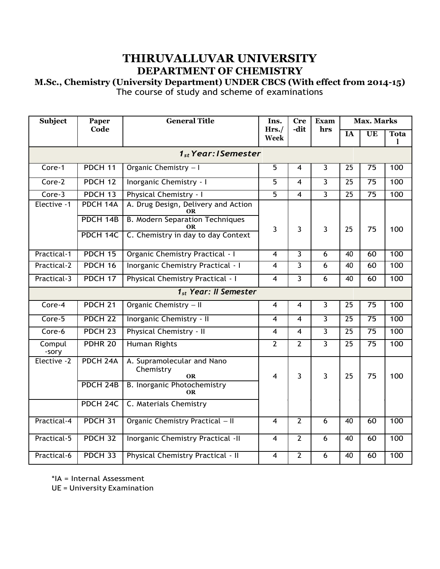# **THIRUVALLUVAR UNIVERSITY DEPARTMENT OF CHEMISTRY**

# **M.Sc., Chemistry (University Department) UNDER CBCS (With effect from 2014-15)** The course of study and scheme of examinations

| <b>Subject</b>  | <b>General Title</b><br>Paper    |                                                      | Ins.           | <b>Cre</b>              | <b>Exam</b>    | <b>Max. Marks</b> |                 |                             |
|-----------------|----------------------------------|------------------------------------------------------|----------------|-------------------------|----------------|-------------------|-----------------|-----------------------------|
|                 | Code                             |                                                      | Hrs./<br>Week  | -dit                    | hrs            | $\overline{IA}$   | UE              | <b>Tota</b><br>$\mathbf{I}$ |
|                 | 1 <sub>st</sub> Year: I Semester |                                                      |                |                         |                |                   |                 |                             |
| Core-1          | PDCH <sub>11</sub>               | Organic Chemistry - I                                | $\overline{5}$ | 4                       | 3              | $\overline{25}$   | $\overline{75}$ | 100                         |
| Core-2          | PDCH <sub>12</sub>               | <b>Inorganic Chemistry - I</b>                       | $\overline{5}$ | $\overline{4}$          | $\overline{3}$ | $\overline{25}$   | $\overline{75}$ | 100                         |
| Core-3          | PDCH <sub>13</sub>               | Physical Chemistry - I                               | $\overline{5}$ | 4                       | 3              | $\overline{25}$   | $\overline{75}$ | 100                         |
| Elective -1     | PDCH 14A                         | A. Drug Design, Delivery and Action<br>ОR            |                |                         |                |                   |                 |                             |
|                 | PDCH 14B                         | <b>B. Modern Separation Techniques</b><br>OR         | 3              | $\overline{3}$          | $\overline{3}$ | 25                | 75              | 100                         |
|                 | PDCH 14C                         | C. Chemistry in day to day Context                   |                |                         |                |                   |                 |                             |
| Practical-1     | PDCH <sub>15</sub>               | <b>Organic Chemistry Practical - I</b>               | 4              | $\overline{3}$          | 6              | $\overline{40}$   | 60              | 100                         |
| Practical-2     | PDCH 16                          | <b>Inorganic Chemistry Practical - I</b>             | $\overline{4}$ | $\overline{3}$          | $\overline{6}$ | 40                | 60              | 100                         |
| Practical-3     | PDCH <sub>17</sub>               | <b>Physical Chemistry Practical - I</b>              | 4              | $\overline{\mathbf{3}}$ | $\overline{6}$ | $\overline{40}$   | 60              | 100                         |
|                 |                                  | 1 <sub>st</sub> Year: II Semester                    |                |                         |                |                   |                 |                             |
| Core-4          | PDCH <sub>21</sub>               | Organic Chemistry - II                               | 4              | $\overline{4}$          | $\overline{3}$ | $\overline{25}$   | $\overline{75}$ | 100                         |
| Core-5          | PDCH <sub>22</sub>               | Inorganic Chemistry - II                             | 4              | 4                       | $\overline{3}$ | $\overline{25}$   | $\overline{75}$ | 100                         |
| Core-6          | PDCH <sub>23</sub>               | Physical Chemistry - II                              | 4              | $\overline{4}$          | $\overline{3}$ | $\overline{25}$   | $\overline{75}$ | 100                         |
| Compul<br>-sory | PDHR <sub>20</sub>               | <b>Human Rights</b>                                  | $\overline{2}$ | $\overline{2}$          | $\overline{3}$ | 25                | 75              | 100                         |
| Elective -2     | PDCH <sub>24A</sub>              | A. Supramolecular and Nano<br>Chemistry<br><b>OR</b> | 4              | 3                       | $\overline{3}$ | 25                | 75              | 100                         |
|                 | PDCH <sub>24B</sub>              | B. Inorganic Photochemistry<br><b>OR</b>             |                |                         |                |                   |                 |                             |
|                 | PDCH <sub>24C</sub>              | C. Materials Chemistry                               |                |                         |                |                   |                 |                             |
| Practical-4     | PDCH <sub>31</sub>               | Organic Chemistry Practical - II                     | 4              | $\overline{2}$          | $\overline{6}$ | $\overline{40}$   | 60              | 100                         |
| Practical-5     | PDCH <sub>32</sub>               | <b>Inorganic Chemistry Practical -II</b>             | $\overline{4}$ | $\overline{2}$          | $\overline{6}$ | 40                | 60              | 100                         |
| Practical-6     | PDCH <sub>33</sub>               | <b>Physical Chemistry Practical - II</b>             | 4              | $\overline{2}$          | 6              | 40                | 60              | 100                         |

\*IA = Internal Assessment

UE = University Examination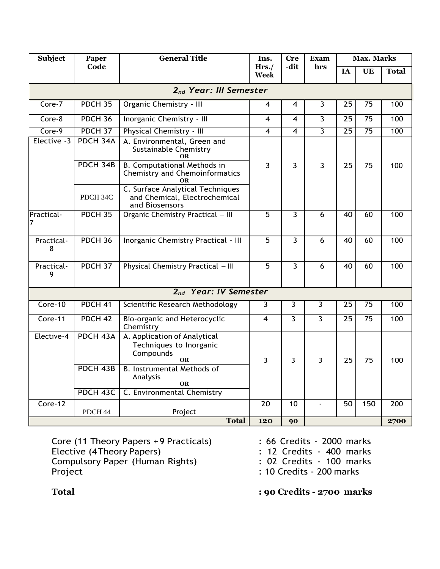| <b>Subject</b>                     | Paper               | <b>General Title</b>                                                                     | Ins.                    | <b>Cre</b>      | Exam           | <b>Max. Marks</b> |                        |              |
|------------------------------------|---------------------|------------------------------------------------------------------------------------------|-------------------------|-----------------|----------------|-------------------|------------------------|--------------|
|                                    | Code                |                                                                                          | Hrs.<br>Week            | -dit            | hrs            | <b>IA</b>         | $\overline{\text{UE}}$ | <b>Total</b> |
| 2 <sub>nd</sub> Year: III Semester |                     |                                                                                          |                         |                 |                |                   |                        |              |
| Core-7                             | <b>PDCH 35</b>      | Organic Chemistry - III                                                                  | 4                       | 4               | $\overline{3}$ | 25                | 75                     | 100          |
| Core-8                             | PDCH <sub>36</sub>  | Inorganic Chemistry - III                                                                | 4                       | 4               | $\overline{3}$ | $\overline{25}$   | $\overline{75}$        | 100          |
| Core-9                             | PDCH <sub>37</sub>  | Physical Chemistry - III                                                                 | $\overline{\mathbf{4}}$ | 4               | $\overline{3}$ | $\overline{25}$   | $\overline{75}$        | 100          |
| Elective -3                        | PDCH 34A            | A. Environmental, Green and<br><b>Sustainable Chemistry</b><br><b>OR</b>                 |                         |                 |                |                   |                        |              |
|                                    | PDCH 34B            | <b>B. Computational Methods in</b><br><b>Chemistry and Chemoinformatics</b><br><b>OR</b> | 3                       | 3               | $\overline{3}$ | 25                | 75                     | 100          |
|                                    | PDCH 34C            | C. Surface Analytical Techniques<br>and Chemical, Electrochemical<br>and Biosensors      |                         |                 |                |                   |                        |              |
| Practical-                         | PDCH <sub>35</sub>  | Organic Chemistry Practical - III                                                        | 5                       | $\overline{3}$  | 6              | $\overline{40}$   | 60                     | 100          |
| Practical-<br>8                    | PDCH <sub>36</sub>  | Inorganic Chemistry Practical - III                                                      | $\overline{5}$          | $\overline{3}$  | 6              | 40                | 60                     | 100          |
| Practical-<br>9                    | PDCH 37             | Physical Chemistry Practical - III                                                       | $\overline{5}$          | $\overline{3}$  | $\overline{6}$ | 40                | 60                     | 100          |
|                                    |                     | 2 <sub>nd</sub> Year: IV Semester                                                        |                         |                 |                |                   |                        |              |
| $Core-10$                          | PDCH <sub>41</sub>  | Scientific Research Methodology                                                          | 3                       | $\overline{3}$  | $\overline{3}$ | $\overline{25}$   | 75                     | 100          |
| Core-11                            | PDCH <sub>42</sub>  | Bio-organic and Heterocyclic<br>Chemistry                                                | 4                       | $\overline{3}$  | $\overline{3}$ | 25                | $\overline{75}$        | 100          |
| Elective-4                         | PDCH <sub>43A</sub> | A. Application of Analytical<br>Techniques to Inorganic<br>Compounds<br>OR               | 3                       | 3               | 3              | 25                | 75                     | 100          |
|                                    | PDCH <sub>43B</sub> | <b>B.</b> Instrumental Methods of<br>Analysis<br><b>OR</b>                               |                         |                 |                |                   |                        |              |
|                                    | PDCH <sub>43C</sub> | C. Environmental Chemistry                                                               |                         |                 |                |                   |                        |              |
| Core-12                            | PDCH 44             | Project                                                                                  | $\overline{20}$         | $\overline{10}$ |                | $\overline{50}$   | 150                    | 200          |
|                                    |                     | <b>Total</b>                                                                             | 120                     | 90              |                |                   |                        | 2700         |

Core (11 Theory Papers +9 Practicals) : 66 Credits - 2000 marks Elective (4 Theory Papers) **12 Credits - 400 marks** Compulsory Paper (Human Rights) : 02 Credits - 100 marks Project : 10 Credits - 200 marks

- 
- 
- 
- 
- **Total : 90 Credits - 2700 marks**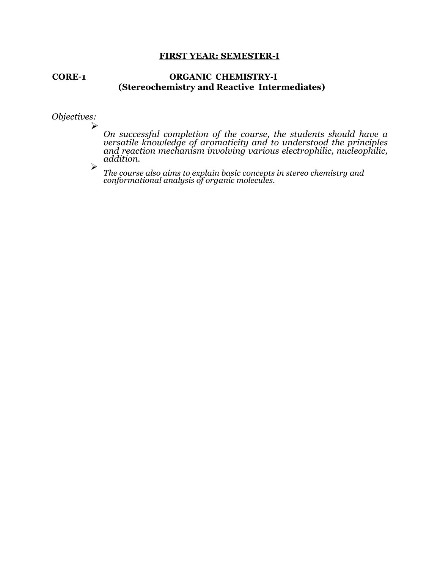#### **FIRST YEAR: SEMESTER-I**

#### **CORE–1 ORGANIC CHEMISTRY-I (Stereochemistry and Reactive Intermediates)**

*Objectives:*

➢

➢

*On successful completion of the course, the students should have a versatile knowledge of aromaticity and to understood the principles and reaction mechanism involving various electrophilic, nucleophilic, addition.*

*The course also aims to explain basic concepts in stereo chemistry and conformational analysis of organic molecules.*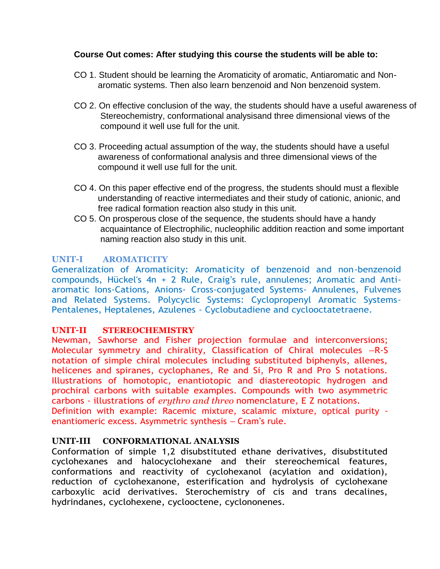# **Course Out comes: After studying this course the students will be able to:**

- CO 1. Student should be learning the Aromaticity of aromatic, Antiaromatic and Non aromatic systems. Then also learn benzenoid and Non benzenoid system.
- CO 2. On effective conclusion of the way, the students should have a useful awareness of Stereochemistry, conformational analysisand three dimensional views of the compound it well use full for the unit.
- CO 3. Proceeding actual assumption of the way, the students should have a useful awareness of conformational analysis and three dimensional views of the compound it well use full for the unit.
- CO 4. On this paper effective end of the progress, the students should must a flexible understanding of reactive intermediates and their study of cationic, anionic, and free radical formation reaction also study in this unit.
- CO 5. On prosperous close of the sequence, the students should have a handy acquaintance of Electrophilic, nucleophilic addition reaction and some important naming reaction also study in this unit.

# **UNIT-I AROMATICITY**

Generalization of Aromaticity: Aromaticity of benzenoid and non-benzenoid compounds, Hückel's 4n + 2 Rule, Craig's rule, annulenes; Aromatic and Antiaromatic Ions-Cations, Anions- Cross-conjugated Systems- Annulenes, Fulvenes and Related Systems. Polycyclic Systems: Cyclopropenyl Aromatic Systems-Pentalenes, Heptalenes, Azulenes - Cyclobutadiene and cyclooctatetraene.

# **UNIT–II STEREOCHEMISTRY**

Newman, Sawhorse and Fisher projection formulae and interconversions; Molecular symmetry and chirality, Classification of Chiral molecules –R-S notation of simple chiral molecules including substituted biphenyls, allenes, helicenes and spiranes, cyclophanes, Re and Si, Pro R and Pro S notations. Illustrations of homotopic, enantiotopic and diastereotopic hydrogen and prochiral carbons with suitable examples. Compounds with two asymmetric carbons - illustrations of *erythro and threo* nomenclature, E Z notations. Definition with example: Racemic mixture, scalamic mixture, optical purity enantiomeric excess. Asymmetric synthesis – Cram's rule.

## **UNIT-III CONFORMATIONAL ANALYSIS**

Conformation of simple 1,2 disubstituted ethane derivatives, disubstituted cyclohexanes and halocyclohexane and their stereochemical features, conformations and reactivity of cyclohexanol (acylation and oxidation), reduction of cyclohexanone, esterification and hydrolysis of cyclohexane carboxylic acid derivatives. Sterochemistry of cis and trans decalines, hydrindanes, cyclohexene, cyclooctene, cyclononenes.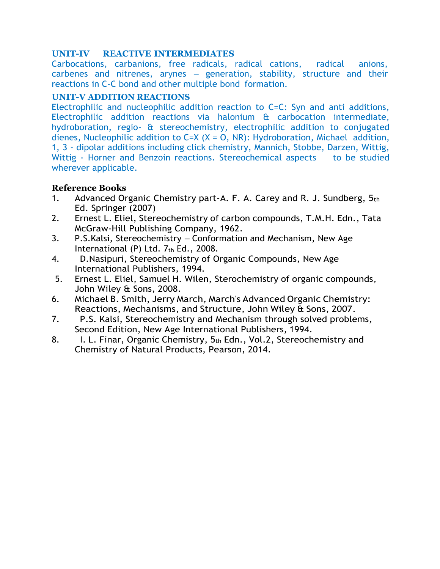# **UNIT-IV REACTIVE INTERMEDIATES**

Carbocations, carbanions, free radicals, radical cations, radical anions, carbenes and nitrenes, arynes – generation, stability, structure and their reactions in C-C bond and other multiple bond formation.

# **UNIT-V ADDITION REACTIONS**

Electrophilic and nucleophilic addition reaction to C=C: Syn and anti additions, Electrophilic addition reactions via halonium & carbocation intermediate, hydroboration, regio- & stereochemistry, electrophilic addition to conjugated dienes, Nucleophilic addition to  $C=X$  ( $X = 0$ , NR): Hydroboration, Michael addition, 1, 3 - dipolar additions including click chemistry, Mannich, Stobbe, Darzen, Wittig, Wittig - Horner and Benzoin reactions. Stereochemical aspects to be studied wherever applicable.

- 1. Advanced Organic Chemistry part-A. F. A. Carey and R. J. Sundberg,  $5<sub>th</sub>$ Ed. Springer (2007)
- 2. Ernest L. Eliel, Stereochemistry of carbon compounds, T.M.H. Edn., Tata McGraw-Hill Publishing Company, 1962.
- 3. P.S.Kalsi, Stereochemistry Conformation and Mechanism, New Age International (P) Ltd.  $7<sub>th</sub>$  Ed., 2008.
- 4. D.Nasipuri, Stereochemistry of Organic Compounds, New Age International Publishers, 1994.
- 5. [Ernest](http://www.google.co.in/search?tbo=p&tbm=bks&q=inauthor%3A%22Ernest%2BL.%2BEliel%22) L. Eliel, [Samuel](http://www.google.co.in/search?tbo=p&tbm=bks&q=inauthor%3A%22Ernest%2BL.%2BEliel%22) H. Wilen, Sterochemistry of organic compounds, John Wiley & Sons, 2008.
- 6. [Michael](http://www.google.co.in/search?tbo=p&tbm=bks&q=inauthor%3A%22Michael%2BB.%2BSmith%22) B. Smith, Jerry [March,](http://www.google.co.in/search?tbo=p&tbm=bks&q=inauthor%3A%22Michael%2BB.%2BSmith%22) March's Advanced Organic Chemistry: Reactions, Mechanisms, and Structure, John Wiley & Sons, 2007.
- 7. P.S. Kalsi, Stereochemistry and Mechanism through solved problems, Second Edition, New Age International Publishers, 1994.
- 8. I. L. Finar, Organic Chemistry, 5th Edn., Vol.2, Stereochemistry and Chemistry of Natural Products, Pearson, 2014.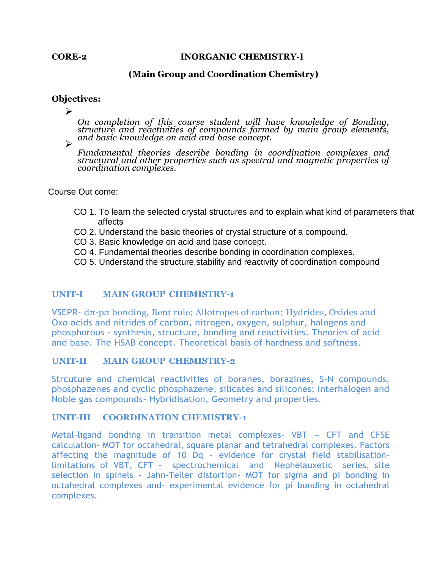#### **CORE-2 INORGANIC CHEMISTRY-I**

## **(Main Group and Coordination Chemistry)**

#### **Objectives:**

➢

*On completion of this course student will have knowledge of Bonding, structure and reactivities of compounds formed by main group elements, and basic knowledge on acid and base concept.* ➢

*Fundamental theories describe bonding in coordination complexes and structural and other properties such as spectral and magnetic properties of coordination complexes.*

Course Out come:

- CO 1. To learn the selected crystal structures and to explain what kind of parameters that affects
- CO 2. Understand the basic theories of crystal structure of a compound.
- CO 3. Basic knowledge on acid and base concept.
- CO 4. Fundamental theories describe bonding in coordination complexes.
- CO 5. Understand the structure,stability and reactivity of coordination compound

## **UNIT-I MAIN GROUP CHEMISTRY-1**

VSEPR- dπ-pπ bonding, Bent rule; Allotropes of carbon; Hydrides, Oxides and Oxo acids and nitrides of carbon, nitrogen, oxygen, sulphur, halogens and phosphorous - synthesis, structure, bonding and reactivities. Theories of acid and base. The HSAB concept. Theoretical basis of hardness and softness.

## **UNIT-II MAIN GROUP CHEMISTRY-2**

Strcuture and chemical reactivities of boranes, borazines, S-N compounds, phosphazenes and cyclic phosphazene, silicates and silicones; Interhalogen and Noble gas compounds- Hybridisation, Geometry and properties.

#### **UNIT-III COORDINATION CHEMISTRY-1**

Metal-ligand bonding in transition metal complexes- VBT – CFT and CFSE calculation- MOT for octahedral, square planar and tetrahedral complexes. Factors affecting the magnitude of 10 Dq - evidence for crystal field stabilisationlimitations of VBT, CFT - spectrochemical and Nephelauxetic series, site selection in spinels - Jahn-Teller distortion- MOT for sigma and pi bonding in octahedral complexes and- experimental evidence for pi bonding in octahedral complexes.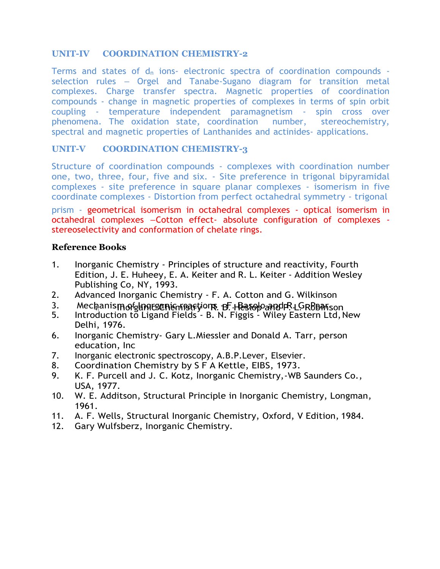# **UNIT-IV COORDINATION CHEMISTRY-2**

Terms and states of  $d_n$  ions- electronic spectra of coordination compounds selection rules – Orgel and Tanabe-Sugano diagram for transition metal complexes. Charge transfer spectra. Magnetic properties of coordination compounds - change in magnetic properties of complexes in terms of spin orbit coupling - temperature independent paramagnetism - spin cross over phenomena. The oxidation state, coordination number, stereochemistry, spectral and magnetic properties of Lanthanides and actinides- applications.

# **UNIT-V COORDINATION CHEMISTRY-3**

Structure of coordination compounds - complexes with coordination number one, two, three, four, five and six. - Site preference in trigonal bipyramidal complexes - site preference in square planar complexes - isomerism in five coordinate complexes - Distortion from perfect octahedral symmetry - trigonal

prism - geometrical isomerism in octahedral complexes - optical isomerism in octahedral complexes –Cotton effect- absolute configuration of complexes stereoselectivity and conformation of chelate rings.

- 1. Inorganic Chemistry Principles of structure and reactivity, Fourth Edition, J. E. Huheey, E. A. Keiter and R. L. Keiter - Addition Wesley Publishing Co, NY, 1993.
- 2. Advanced Inorganic Chemistry F. A. Cotton and G. Wilkinson
- 3. Mechanismorghmesenigmearyons B. Ressoloand R.LGRBBanson
- 5. Introduction to Ligand Fields B. N. Figgis Wiley Eastern Ltd,New Delhi, 1976.
- 6. Inorganic Chemistry- Gary L.Miessler and Donald A. Tarr, person education, Inc
- 7. Inorganic electronic spectroscopy, A.B.P.Lever, Elsevier.
- 8. Coordination Chemistry by S F A Kettle, EIBS, 1973.
- 9. K. F. Purcell and J. C. Kotz, Inorganic Chemistry, -WB Saunders Co., USA, 1977.
- 10. W. E. Additson, Structural Principle in Inorganic Chemistry, Longman, 1961.
- 11. A. F. Wells, Structural Inorganic Chemistry, Oxford, V Edition, 1984.
- 12. Gary Wulfsberz, Inorganic Chemistry.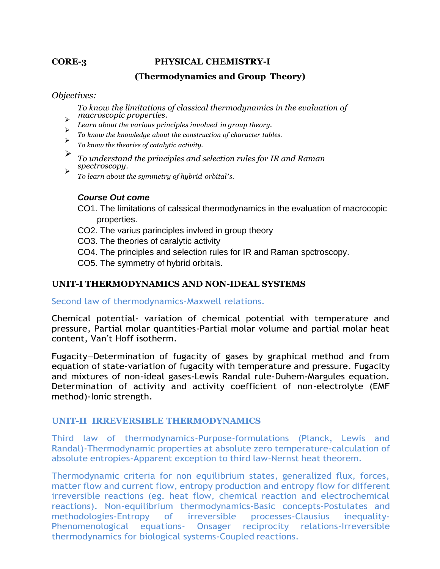#### **CORE-3 PHYSICAL CHEMISTRY-I**

# **(Thermodynamics and Group Theory)**

#### *Objectives:*

*To know the limitations of classical thermodynamics in the evaluation of macroscopic properties.* ➢

- *Learn about the various principles involved in group theory.* ➢
- *To know the knowledge about the construction of character tables.* ➢
- *To know the theories of catalytic activity.*
- ➢ *To understand the principles and selection rules for IR and Raman spectroscopy.* ➢
	- *To learn about the symmetry of hybrid orbital's.*

## *Course Out come*

- CO1. The limitations of calssical thermodynamics in the evaluation of macrocopic properties.
- CO2. The varius parinciples invlved in group theory
- CO3. The theories of caralytic activity
- CO4. The principles and selection rules for IR and Raman spctroscopy.
- CO5. The symmetry of hybrid orbitals.

# **UNIT-I THERMODYNAMICS AND NON-IDEAL SYSTEMS**

Second law of thermodynamics-Maxwell relations.

Chemical potential- variation of chemical potential with temperature and pressure, Partial molar quantities-Partial molar volume and partial molar heat content, Van't Hoff isotherm.

Fugacity–Determination of fugacity of gases by graphical method and from equation of state-variation of fugacity with temperature and pressure. Fugacity and mixtures of non-ideal gases-Lewis Randal rule-Duhem-Margules equation. Determination of activity and activity coefficient of non-electrolyte (EMF method)-Ionic strength.

## **UNIT-II IRREVERSIBLE THERMODYNAMICS**

Third law of thermodynamics-Purpose-formulations (Planck, Lewis and Randal)-Thermodynamic properties at absolute zero temperature-calculation of absolute entropies-Apparent exception to third law-Nernst heat theorem.

Thermodynamic criteria for non equilibrium states, generalized flux, forces, matter flow and current flow, entropy production and entropy flow for different irreversible reactions (eg. heat flow, chemical reaction and electrochemical reactions). Non-equilibrium thermodynamics-Basic concepts-Postulates and methodologies-Entropy of irreversible processes-Clausius inequality-Phenomenological equations- Onsager reciprocity relations-Irreversible thermodynamics for biological systems-Coupled reactions.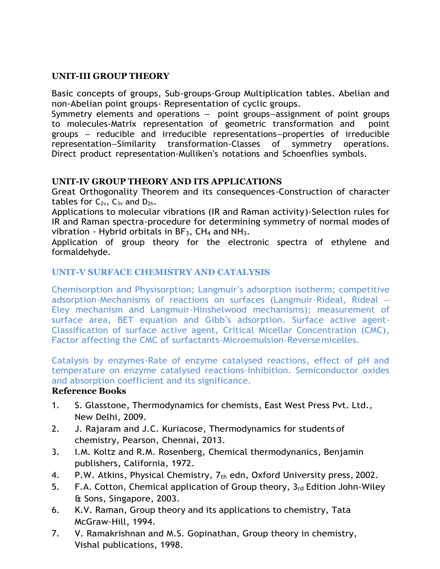# **UNIT-III GROUP THEORY**

Basic concepts of groups, Sub-groups-Group Multiplication tables. Abelian and non-Abelian point groups- Representation of cyclic groups.

Symmetry elements and operations – point groups–assignment of point groups to molecules-Matrix representation of geometric transformation and point groups – reducible and irreducible representations–properties of irreducible representation–Similarity transformation-Classes of symmetry operations. Direct product representation-Mulliken's notations and Schoenflies symbols.

# **UNIT-IV GROUP THEORY AND ITS APPLICATIONS**

Great Orthogonality Theorem and its consequences-Construction of character tables for  $C_{2v}$ ,  $C_{3v}$  and  $D_{2h}$ .

Applications to molecular vibrations (IR and Raman activity)-Selection rules for IR and Raman spectra-procedure for determining symmetry of normal modes of vibration - Hybrid orbitals in  $BF_3$ ,  $CH_4$  and  $NH_3$ .

Application of group theory for the electronic spectra of ethylene and formaldehyde.

# **UNIT-V SURFACE CHEMISTRY AND CATALYSIS**

Chemisorption and Physisorption; Langmuir's adsorption isotherm; competitive adsorption-Mechanisms of reactions on surfaces (Langmuir-Rideal, Rideal – Eley mechanism and Langmuir-Hinshelwood mechanisms); measurement of surface area, BET equation and Gibb's adsorption. Surface active agent-Classification of surface active agent, Critical Micellar Concentration (CMC), Factor affecting the CMC of surfactants-Microemulsion-Reversemicelles.

Catalysis by enzymes-Rate of enzyme catalysed reactions, effect of pH and temperature on enzyme catalysed reactions-Inhibition. Semiconductor oxides and absorption coefficient and its significance.

- 1. S. Glasstone, Thermodynamics for chemists, East West Press Pvt. Ltd., New Delhi, 2009.
- 2. J. Rajaram and J.C. Kuriacose, Thermodynamics for students of chemistry, Pearson, Chennai, 2013.
- 3. I.M. Koltz and R.M. Rosenberg, Chemical thermodynanics, Benjamin publishers, California, 1972.
- 4. P.W. Atkins, Physical Chemistry,  $7<sub>th</sub>$  edn, Oxford University press, 2002.
- 5. F.A. Cotton, Chemical application of Group theory, 3rd Edition John-Wiley & Sons, Singapore, 2003.
- 6. K.V. Raman, Group theory and its applications to chemistry, Tata McGraw-Hill, 1994.
- 7. V. Ramakrishnan and M.S. Gopinathan, Group theory in chemistry, Vishal publications, 1998.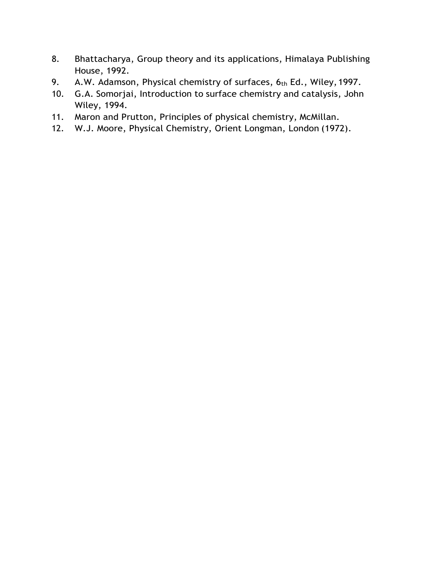- 8. Bhattacharya, Group theory and its applications, Himalaya Publishing House, 1992.
- 9. A.W. Adamson, Physical chemistry of surfaces, 6th Ed., Wiley, 1997.
- 10. G.A. Somorjai, Introduction to surface chemistry and catalysis, John Wiley, 1994.
- 11. Maron and Prutton, Principles of physical chemistry, McMillan.
- 12. W.J. Moore, Physical Chemistry, Orient Longman, London (1972).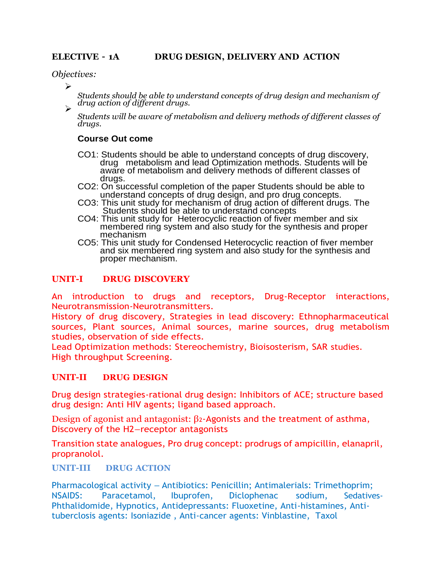*Objectives:*

➢

*Students should be able to understand concepts of drug design and mechanism of drug action of different drugs.* 

*Students will be aware of metabolism and delivery methods of different classes of drugs.*

#### **Course Out come**

- CO1: Students should be able to understand concepts of drug discovery, drug metabolism and lead Optimization methods. Students will be aware of metabolism and delivery methods of different classes of drugs.
- CO2: On successful completion of the paper Students should be able to understand concepts of drug design, and pro drug concepts.
- CO3: This unit study for mechanism of drug action of different drugs. The Students should be able to understand concepts
- CO4: This unit study for Heterocyclic reaction of fiver member and six membered ring system and also study for the synthesis and proper mechanism
- CO5: This unit study for Condensed Heterocyclic reaction of fiver member and six membered ring system and also study for the synthesis and proper mechanism.

## **UNIT-I DRUG DISCOVERY**

An introduction to drugs and receptors, Drug-Receptor interactions, Neurotransmission-Neurotransmitters.

History of drug discovery, Strategies in lead discovery: Ethnopharmaceutical sources, Plant sources, Animal sources, marine sources, drug metabolism studies, observation of side effects.

Lead Optimization methods: Stereochemistry, Bioisosterism, SAR studies. High throughput Screening.

## **UNIT-II DRUG DESIGN**

Drug design strategies-rational drug design: Inhibitors of ACE; structure based drug design: Anti HIV agents; ligand based approach.

Design of agonist and antagonist: β2-Agonists and the treatment of asthma, Discovery of the H2–receptor antagonists

Transition state analogues, Pro drug concept: prodrugs of ampicillin, elanapril, propranolol.

## **UNIT-III DRUG ACTION**

Pharmacological activity – Antibiotics: Penicillin; Antimalerials: Trimethoprim; NSAIDS: Paracetamol, Ibuprofen, Diclophenac sodium, Sedatives-Phthalidomide, Hypnotics, Antidepressants: Fluoxetine, Anti-histamines, Antituberclosis agents: Isoniazide , Anti-cancer agents: Vinblastine, Taxol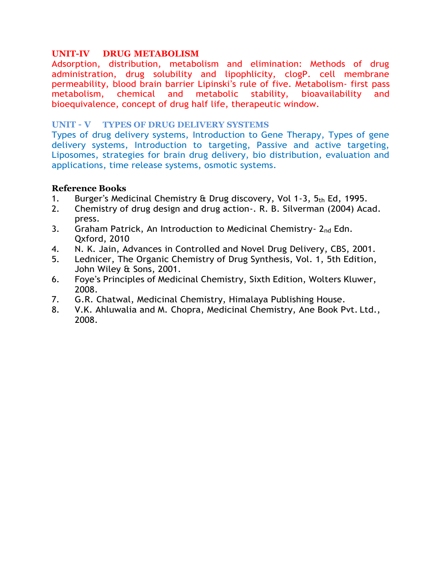# **UNIT-IV DRUG METABOLISM**

Adsorption, distribution, metabolism and elimination: Methods of drug administration, drug solubility and lipophlicity, clogP. cell membrane permeability, blood brain barrier Lipinski's rule of five. Metabolism- first pass metabolism, chemical and metabolic stability, bioavailability and bioequivalence, concept of drug half life, therapeutic window.

## **UNIT – V TYPES OF DRUG DELIVERY SYSTEMS**

Types of drug delivery systems, Introduction to Gene Therapy, Types of gene delivery systems, Introduction to targeting, Passive and active targeting, Liposomes, strategies for brain drug delivery, bio distribution, evaluation and applications, time release systems, osmotic systems.

- 1. Burger's Medicinal Chemistry  $\hat{\alpha}$  Drug discovery, Vol 1-3,  $5<sub>th</sub>$  Ed, 1995.
- 2. Chemistry of drug design and drug action-. R. B. Silverman (2004) Acad. press.
- 3. Graham Patrick, An Introduction to Medicinal Chemistry- 2nd Edn. Qxford, 2010
- 4. N. K. Jain, Advances in Controlled and Novel Drug Delivery, CBS, 2001.
- 5. Lednicer, The Organic Chemistry of Drug Synthesis, Vol. 1, 5th Edition, John Wiley & Sons, 2001.
- 6. Foye's Principles of Medicinal Chemistry, Sixth Edition, Wolters Kluwer, 2008.
- 7. G.R. Chatwal, Medicinal Chemistry, Himalaya Publishing House.
- 8. V.K. Ahluwalia and M. Chopra, Medicinal Chemistry, Ane Book Pvt. Ltd., 2008.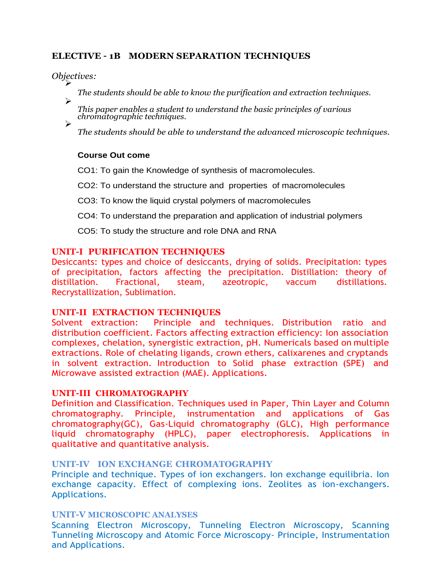# **ELECTIVE – 1B MODERN SEPARATION TECHNIQUES**

*Objectives:* ➢

➢

➢

*The students should be able to know the purification and extraction techniques.*

*This paper enables a student to understand the basic principles of various chromatographic techniques.*

*The students should be able to understand the advanced microscopic techniques.*

#### **Course Out come**

CO1: To gain the Knowledge of synthesis of macromolecules.

CO2: To understand the structure and properties of macromolecules

CO3: To know the liquid crystal polymers of macromolecules

CO4: To understand the preparation and application of industrial polymers

CO5: To study the structure and role DNA and RNA

#### **UNIT-I PURIFICATION TECHNIQUES**

Desiccants: types and choice of desiccants, drying of solids. Precipitation: types of precipitation, factors affecting the precipitation. Distillation: theory of distillation. Fractional, steam, azeotropic, vaccum distillations. Recrystallization, Sublimation.

#### **UNIT-II EXTRACTION TECHNIQUES**

Solvent extraction: Principle and techniques. Distribution ratio and distribution coefficient. Factors affecting extraction efficiency: Ion association complexes, chelation, synergistic extraction, pH. Numericals based on multiple extractions. Role of chelating ligands, crown ethers, calixarenes and cryptands in solvent extraction. Introduction to Solid phase extraction (SPE) and Microwave assisted extraction (MAE). Applications.

#### **UNIT-III CHROMATOGRAPHY**

Definition and Classification. Techniques used in Paper, Thin Layer and Column chromatography. Principle, instrumentation and applications of Gas chromatography(GC), Gas-Liquid chromatography (GLC), High performance liquid chromatography (HPLC), paper electrophoresis. Applications in qualitative and quantitative analysis.

#### **UNIT-IV ION EXCHANGE CHROMATOGRAPHY**

Principle and technique. Types of ion exchangers. Ion exchange equilibria. Ion exchange capacity. Effect of complexing ions. Zeolites as ion-exchangers. Applications.

#### **UNIT-V MICROSCOPIC ANALYSES**

Scanning Electron Microscopy, Tunneling Electron Microscopy, Scanning Tunneling Microscopy and Atomic Force Microscopy- Principle, Instrumentation and Applications.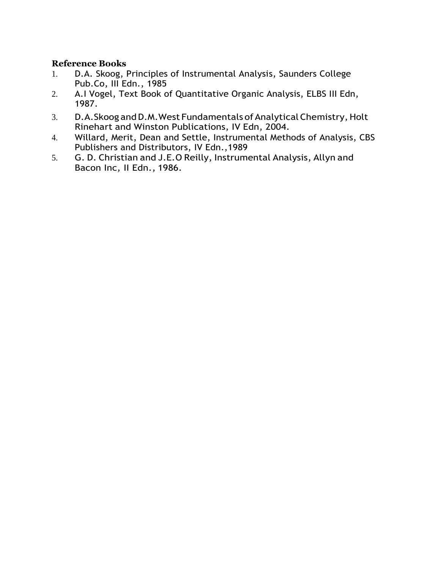- 1. D.A. Skoog, Principles of Instrumental Analysis, Saunders College Pub.Co, III Edn., 1985
- 2. A.I Vogel, Text Book of Quantitative Organic Analysis, ELBS III Edn, 1987.
- 3. D.A.Skoog and D.M. West Fundamentals of Analytical Chemistry, Holt Rinehart and Winston Publications, IV Edn, 2004.
- 4. Willard, Merit, Dean and Settle, Instrumental Methods of Analysis, CBS Publishers and Distributors, IV Edn.,1989
- 5. G. D. Christian and J.E.O Reilly, Instrumental Analysis, Allyn and Bacon Inc, II Edn., 1986.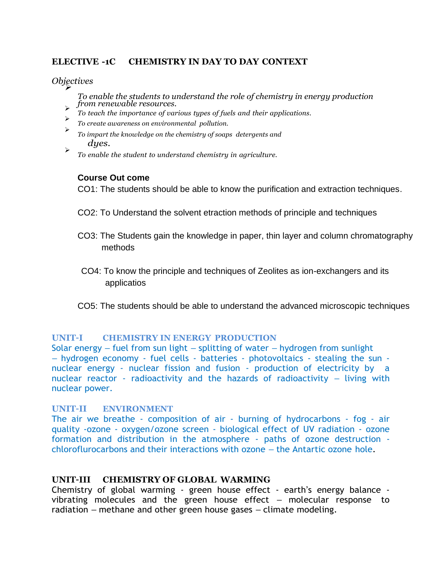## **ELECTIVE -1C CHEMISTRY IN DAY TO DAY CONTEXT**

#### *Objectives* ➢

*To enable the students to understand the role of chemistry in energy production from renewable resources.* ➢

- *To teach the importance of various types of fuels and their applications.* ➢
- *To create awareness on environmental pollution.* ➢
- *To impart the knowledge on the chemistry of soaps detergents and dyes.*
- ➢ *To enable the student to understand chemistry in agriculture.*

#### **Course Out come**

CO1: The students should be able to know the purification and extraction techniques.

- CO2: To Understand the solvent etraction methods of principle and techniques
- CO3: The Students gain the knowledge in paper, thin layer and column chromatography methods
- CO4: To know the principle and techniques of Zeolites as ion-exchangers and its applicatios
- CO5: The students should be able to understand the advanced microscopic techniques

#### **UNIT–I CHEMISTRY IN ENERGY PRODUCTION**

Solar energy – fuel from sun light – splitting of water – hydrogen from sunlight – hydrogen economy - fuel cells - batteries - photovoltaics - stealing the sun nuclear energy - nuclear fission and fusion - production of electricity by a nuclear reactor - radioactivity and the hazards of radioactivity – living with nuclear power.

# **UNIT–II ENVIRONMENT**

The air we breathe - composition of air - burning of hydrocarbons - fog - air quality -ozone - oxygen/ozone screen - biological effect of UV radiation - ozone formation and distribution in the atmosphere - paths of ozone destruction chloroflurocarbons and their interactions with ozone – the Antartic ozone hole.

#### **UNIT–III CHEMISTRY OF GLOBAL WARMING**

Chemistry of global warming - green house effect - earth's energy balance vibrating molecules and the green house effect – molecular response to radiation – methane and other green house gases – climate modeling.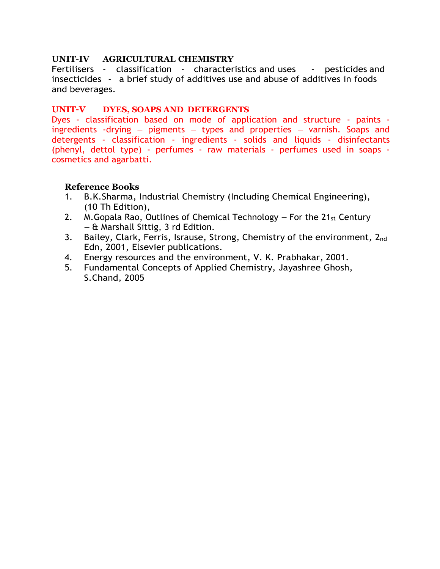#### **UNIT–IV AGRICULTURAL CHEMISTRY**

Fertilisers - classification - characteristics and uses - pesticides and insecticides - a brief study of additives use and abuse of additives in foods and beverages.

#### **UNIT–V DYES, SOAPS AND DETERGENTS**

Dyes - classification based on mode of application and structure - paints ingredients -drying – pigments – types and properties – varnish. Soaps and detergents - classification - ingredients - solids and liquids - disinfectants (phenyl, dettol type) - perfumes - raw materials - perfumes used in soaps cosmetics and agarbatti.

- 1. B.K.Sharma, Industrial Chemistry (Including Chemical Engineering), (10 Th Edition),
- 2. M. Gopala Rao, Outlines of Chemical Technology  $-$  For the 21 $_{st}$  Century – & Marshall Sittig, 3 rd Edition.
- 3. Bailey, Clark, Ferris, Isrause, Strong, Chemistry of the environment,  $2_{nd}$ Edn, 2001, Elsevier publications.
- 4. Energy resources and the environment, V. K. Prabhakar, 2001.
- 5. Fundamental Concepts of Applied Chemistry, Jayashree Ghosh, S.Chand, 2005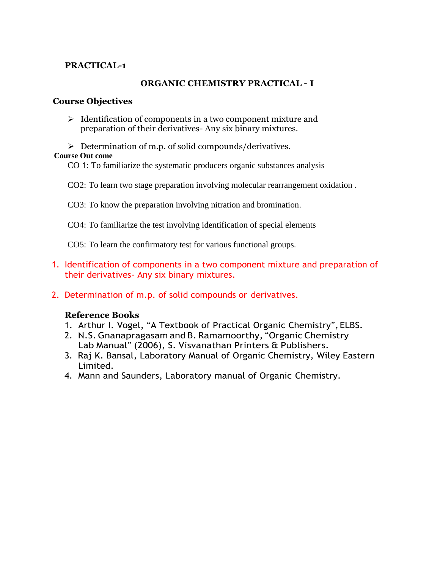# **PRACTICAL-1**

# **ORGANIC CHEMISTRY PRACTICAL – I**

## **Course Objectives**

- ➢ Identification of components in a two component mixture and preparation of their derivatives- Any six binary mixtures.
- ➢ Determination of m.p. of solid compounds/derivatives.  **Course Out come**
	- CO 1: To familiarize the systematic producers organic substances analysis
	- CO2: To learn two stage preparation involving molecular rearrangement oxidation .
	- CO3: To know the preparation involving nitration and bromination.
	- CO4: To familiarize the test involving identification of special elements

CO5: To learn the confirmatory test for various functional groups.

- 1. Identification of components in a two component mixture and preparation of their derivatives- Any six binary mixtures.
- 2. Determination of m.p. of solid compounds or derivatives.

- 1. Arthur I. Vogel, "A Textbook of Practical Organic Chemistry", ELBS.
- 2. N.S. Gnanapragasam and B. Ramamoorthy, "Organic Chemistry Lab Manual" (2006), S. Visvanathan Printers & Publishers.
- 3. Raj K. Bansal, Laboratory Manual of Organic Chemistry, Wiley Eastern Limited.
- 4. Mann and Saunders, Laboratory manual of Organic Chemistry.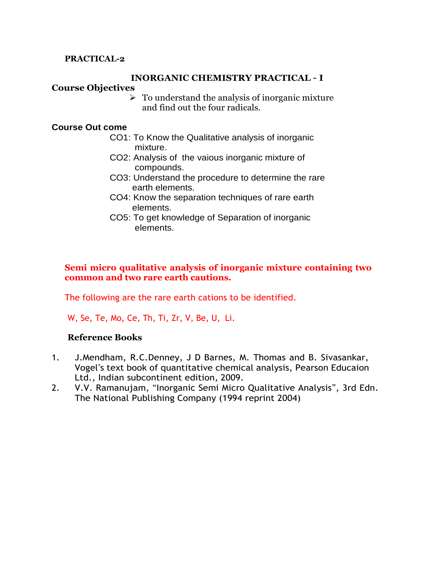# **PRACTICAL-2**

#### **INORGANIC CHEMISTRY PRACTICAL – I**

#### **Course Objectives**

 $\triangleright$  To understand the analysis of inorganic mixture and find out the four radicals.

#### **Course Out come**

- CO1: To Know the Qualitative analysis of inorganic mixture.
- CO2: Analysis of the vaious inorganic mixture of compounds.
- CO3: Understand the procedure to determine the rare earth elements.
- CO4: Know the separation techniques of rare earth elements.
- CO5: To get knowledge of Separation of inorganic elements.

# **Semi micro qualitative analysis of inorganic mixture containing two common and two rare earth cautions.**

The following are the rare earth cations to be identified.

W, Se, Te, Mo, Ce, Th, Ti, Zr, V, Be, U, Li.

- 1. J.Mendham, R.C.Denney, J D Barnes, M. Thomas and B. Sivasankar, Vogel's text book of quantitative chemical analysis, Pearson Educaion Ltd., Indian subcontinent edition, 2009.
- 2. V.V. Ramanujam, "Inorganic Semi Micro Qualitative Analysis", 3rd Edn. The National Publishing Company (1994 reprint 2004)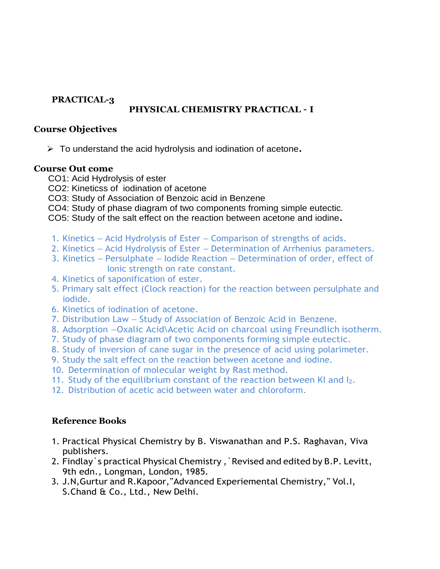# **PRACTICAL-3**

# **PHYSICAL CHEMISTRY PRACTICAL – I**

# **Course Objectives**

➢ To understand the acid hydrolysis and iodination of acetone**.**

## **Course Out come**

- CO1: Acid Hydrolysis of ester
- CO2: Kineticss of iodination of acetone
- CO3: Study of Association of Benzoic acid in Benzene
- CO4: Study of phase diagram of two components froming simple eutectic.
- CO5: Study of the salt effect on the reaction between acetone and iodine**.**
- 1. Kinetics Acid Hydrolysis of Ester Comparison of strengths of acids.
- 2. Kinetics Acid Hydrolysis of Ester Determination of Arrhenius parameters.
- 3. Kinetics Persulphate Iodide Reaction Determination of order, effect of Ionic strength on rate constant.
- 4. Kinetics of saponification of ester.
- 5. Primary salt effect (Clock reaction) for the reaction between persulphate and iodide.
- 6. Kinetics of iodination of acetone.
- 7. Distribution Law Study of Association of Benzoic Acid in Benzene.
- 8. Adsorption –Oxalic Acid\Acetic Acid on charcoal using Freundlich isotherm.
- 7. Study of phase diagram of two components forming simple eutectic.
- 8. Study of inversion of cane sugar in the presence of acid using polarimeter.
- 9. Study the salt effect on the reaction between acetone and iodine.
- 10. Determination of molecular weight by Rast method.
- 11. Study of the equilibrium constant of the reaction between KI and I2.
- 12. Distribution of acetic acid between water and chloroform.

- 1. Practical Physical Chemistry by B. Viswanathan and P.S. Raghavan, Viva publishers.
- 2. Findlay`s practical Physical Chemistry ,`Revised and edited by B.P. Levitt, 9th edn., Longman, London, 1985.
- 3. J.N,Gurtur and R.Kapoor,"Advanced Experiemental Chemistry," Vol.I, S.Chand & Co., Ltd., New Delhi.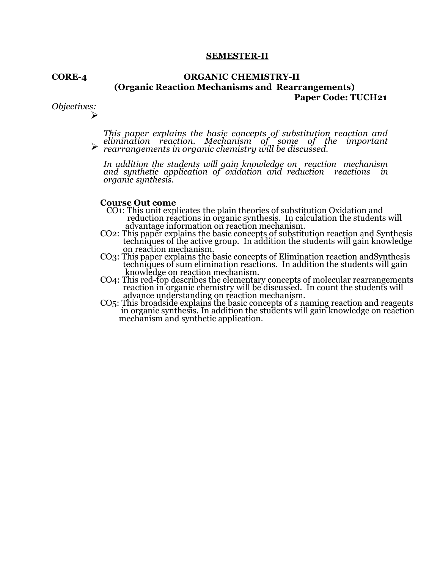#### **SEMESTER-II**

#### **CORE-4 ORGANIC CHEMISTRY-II (Organic Reaction Mechanisms and Rearrangements) Paper Code: TUCH21**

*Objectives:* ➢

> ➢ *This paper explains the basic concepts of substitution reaction and elimination reaction. Mechanism of some of the important rearrangements in organic chemistry will be discussed.*

*In addition the students will gain knowledge on reaction mechanism and synthetic application of oxidation and reduction reactions in organic synthesis.*

#### **Course Out come**

- CO1: This unit explicates the plain theories of substitution Oxidation and reduction reactions in organic synthesis. In calculation the students will advantage information on reaction mechanism.
- CO2: This paper explains the basic concepts of substitution reaction and Synthesis techniques of the active group. In addition the students will gain knowledge on reaction mechanism.
- CO3: This paper explains the basic concepts of Elimination reaction andSynthesis techniques of sum elimination reactions. In addition the students will gain knowledge on reaction mechanism.
- CO4: This red-top describes the elementary concepts of molecular rearrangements reaction in organic chemistry will be discussed. In count the students will advance understanding on reaction mechanism.
- CO5: This broadside explains the basic concepts of s naming reaction and reagents in organic synthesis. In addition the students will gain knowledge on reaction mechanism and synthetic application.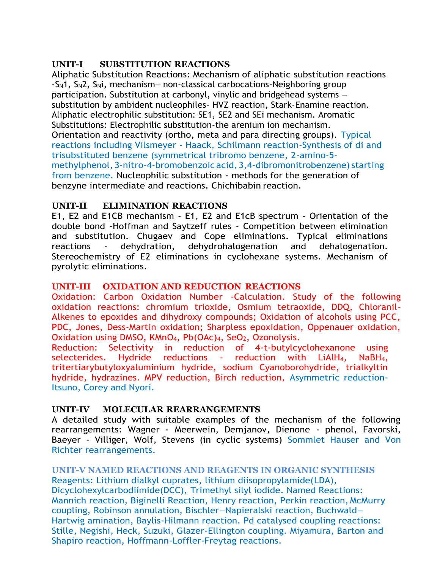# **UNIT-I SUBSTITUTION REACTIONS**

Aliphatic Substitution Reactions: Mechanism of aliphatic substitution reactions -SN1, SN2, SNi, mechanism– non-classical carbocations-Neighboring group participation. Substitution at carbonyl, vinylic and bridgehead systems – substitution by ambident nucleophiles- HVZ reaction, Stark-Enamine reaction. Aliphatic electrophilic substitution: SE1, SE2 and SEi mechanism. Aromatic Substitutions: Electrophilic substitution-the arenium ion mechanism. Orientation and reactivity (ortho, meta and para directing groups). Typical reactions including Vilsmeyer - Haack, Schilmann reaction-Synthesis of di and trisubstituted benzene (symmetrical tribromo benzene, 2-amino-5 methylphenol, 3-nitro-4-bromobenzoic acid, 3,4-dibromonitrobenzene) starting from benzene. Nucleophilic substitution - methods for the generation of benzyne intermediate and reactions. Chichibabin reaction.

# **UNIT-II ELIMINATION REACTIONS**

E1, E2 and E1CB mechanism - E1, E2 and E1cB spectrum - Orientation of the double bond -Hoffman and Saytzeff rules - Competition between elimination and substitution. Chugaev and Cope eliminations. Typical eliminations reactions - dehydration, dehydrohalogenation and dehalogenation. Stereochemistry of E2 eliminations in cyclohexane systems. Mechanism of pyrolytic eliminations.

# **UNIT-III OXIDATION AND REDUCTION REACTIONS**

Oxidation: Carbon Oxidation Number -Calculation. Study of the following oxidation reactions: chromium trioxide, Osmium tetraoxide, DDQ, Chloranil-Alkenes to epoxides and dihydroxy compounds; Oxidation of alcohols using PCC, PDC, Jones, Dess-Martin oxidation; Sharpless epoxidation, Oppenauer oxidation, Oxidation using DMSO, KMnO<sub>4</sub>, Pb(OAc)<sub>4</sub>, SeO<sub>2</sub>, Ozonolysis.

Reduction: Selectivity in reduction of 4-t-butylcyclohexanone using selecterides. Hydride reductions - reduction with LiAlH4, NaBH4, tritertiarybutyloxyaluminium hydride, sodium Cyanoborohydride, trialkyltin hydride, hydrazines. MPV reduction, Birch reduction, Asymmetric reduction-Itsuno, Corey and Nyori.

## **UNIT-IV MOLECULAR REARRANGEMENTS**

A detailed study with suitable examples of the mechanism of the following rearrangements: Wagner - Meerwein, Demjanov, Dienone - phenol, Favorski, Baeyer - Villiger, Wolf, Stevens (in cyclic systems) Sommlet Hauser and Von Richter rearrangements.

# **UNIT-V NAMED REACTIONS AND REAGENTS IN ORGANIC SYNTHESIS**

Reagents: Lithium dialkyl cuprates, lithium diisopropylamide(LDA), Dicyclohexylcarbodiimide(DCC), Trimethyl silyl iodide. Named Reactions: Mannich reaction, Biginelli Reaction, Henry reaction, Perkin reaction, McMurry coupling, Robinson annulation, Bischler–Napieralski reaction, Buchwald– Hartwig amination, Baylis-Hilmann reaction. Pd catalysed coupling reactions: Stille, Negishi, Heck, Suzuki, Glazer-Ellington coupling. Miyamura, Barton and Shapiro reaction, Hoffmann-Loffler-Freytag reactions.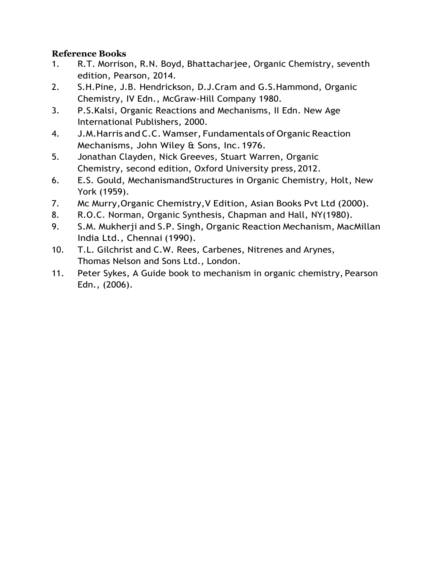- 1. R.T. Morrison, R.N. Boyd, Bhattacharjee, Organic Chemistry, seventh edition, Pearson, 2014.
- 2. S.H.Pine, J.B. Hendrickson, D.J.Cram and G.S.Hammond, Organic Chemistry, IV Edn., McGraw-Hill Company 1980.
- 3. P.S.Kalsi, Organic Reactions and Mechanisms, II Edn. New Age International Publishers, 2000.
- 4. J.M. Harris and C.C. Wamser, Fundamentals of Organic Reaction Mechanisms, John Wiley & Sons, Inc.1976.
- 5. Jonathan Clayden, Nick Greeves, Stuart Warren, Organic Chemistry, second edition, Oxford University press, 2012.
- 6. E.S. Gould, MechanismandStructures in Organic Chemistry, Holt, New York (1959).
- 7. Mc Murry,Organic Chemistry,V Edition, Asian Books Pvt Ltd (2000).
- 8. R.O.C. Norman, Organic Synthesis, Chapman and Hall, NY(1980).
- 9. S.M. Mukherji and S.P. Singh, Organic Reaction Mechanism, MacMillan India Ltd., Chennai (1990).
- 10. T.L. Gilchrist and C.W. Rees, Carbenes, Nitrenes and Arynes, Thomas Nelson and Sons Ltd., London.
- 11. Peter Sykes, A Guide book to mechanism in organic chemistry, Pearson Edn., (2006).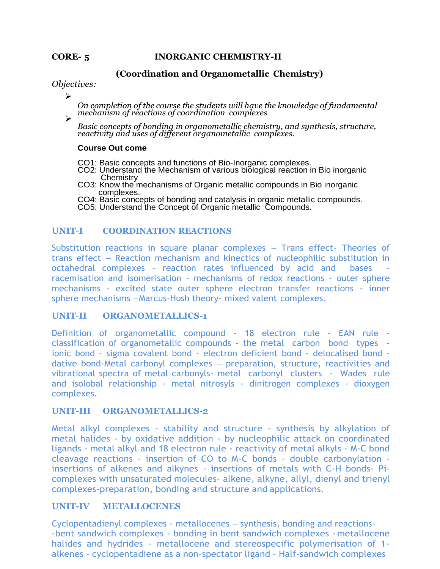#### **CORE- 5 INORGANIC CHEMISTRY-II**

#### **(Coordination and Organometallic Chemistry)**

#### *Objectives:*

➢

*On completion of the course the students will have the knowledge of fundamental mechanism of reactions of coordination complexes* ➢

*Basic concepts of bonding in organometallic chemistry, and synthesis, structure, reactivity and uses of different organometallic complexes.*

#### **Course Out come**

- CO1: Basic concepts and functions of Bio-Inorganic complexes.
- CO2: Understand the Mechanism of various biological reaction in Bio inorganic Chemistry
- CO3: Know the mechanisms of Organic metallic compounds in Bio inorganic complexes.
- CO4: Basic concepts of bonding and catalysis in organic metallic compounds.
- CO5: Understand the Concept of Organic metallic Compounds*.*

#### **UNIT–I COORDINATION REACTIONS**

Substitution reactions in square planar complexes – Trans effect- Theories of trans effect – Reaction mechanism and kinectics of nucleophilic substitution in octahedral complexes - reaction rates influenced by acid and bases racemisation and isomerisation - mechanisms of redox reactions - outer sphere mechanisms - excited state outer sphere electron transfer reactions - inner sphere mechanisms –Marcus-Hush theory- mixed valent complexes.

#### **UNIT–II ORGANOMETALLICS-1**

Definition of organometallic compound - 18 electron rule - EAN rule classification of organometallic compounds - the metal carbon bond types ionic bond - sigma covalent bond - electron deficient bond - delocalised bond dative bond-Metal carbonyl complexes – preparation, structure, reactivities and vibrational spectra of metal carbonyls- metal carbonyl clusters - Wades rule and isolobal relationship - metal nitrosyls - dinitrogen complexes - dioxygen complexes.

#### **UNIT-III ORGANOMETALLICS-2**

Metal alkyl complexes - stability and structure - synthesis by alkylation of metal halides - by oxidative addition - by nucleophilic attack on coordinated ligands - metal alkyl and 18 electron rule - reactivity of metal alkyls - M-C bond cleavage reactions - insertion of CO to M-C bonds - double carbonylation insertions of alkenes and alkynes - insertions of metals with C-H bonds- Picomplexes with unsaturated molecules- alkene, alkyne, allyl, dienyl and trienyl complexes-preparation, bonding and structure and applications.

#### **UNIT-IV METALLOCENES**

Cyclopentadienyl complexes - metallocenes – synthesis, bonding and reactions- -bent sandwich complexes - bonding in bent sandwich complexes - metallocene halides and hydrides - metallocene and stereospecific polymerisation of 1alkenes - cyclopentadiene as a non-spectator ligand - Half-sandwich complexes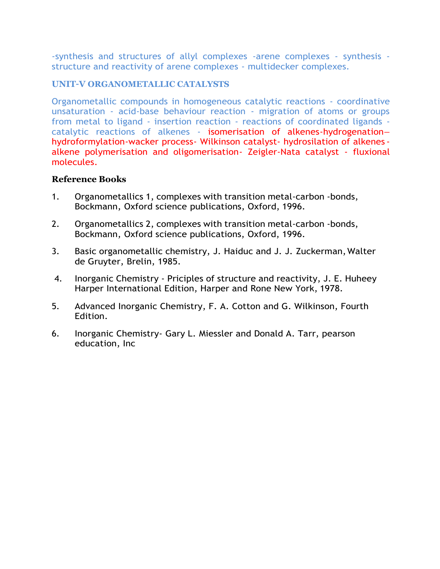-synthesis and structures of allyl complexes -arene complexes - synthesis structure and reactivity of arene complexes - multidecker complexes.

# **UNIT–V ORGANOMETALLIC CATALYSTS**

Organometallic compounds in homogeneous catalytic reactions - coordinative unsaturation - acid-base behaviour reaction - migration of atoms or groups from metal to ligand - insertion reaction - reactions of coordinated ligands catalytic reactions of alkenes - isomerisation of alkenes-hydrogenation– hydroformylation-wacker process- Wilkinson catalyst- hydrosilation of alkenes alkene polymerisation and oligomerisation- Zeigler-Nata catalyst - fluxional molecules.

- 1. Organometallics 1, complexes with transition metal-carbon -bonds, Bockmann, Oxford science publications, Oxford, 1996.
- 2. Organometallics 2, complexes with transition metal-carbon -bonds, Bockmann, Oxford science publications, Oxford, 1996.
- 3. Basic organometallic chemistry, J. Haiduc and J. J. Zuckerman,Walter de Gruyter, Brelin, 1985.
- 4. Inorganic Chemistry Priciples of structure and reactivity, J. E. Huheey Harper International Edition, Harper and Rone New York, 1978.
- 5. Advanced Inorganic Chemistry, F. A. Cotton and G. Wilkinson, Fourth Edition.
- 6. Inorganic Chemistry- Gary L. Miessler and Donald A. Tarr, pearson education, Inc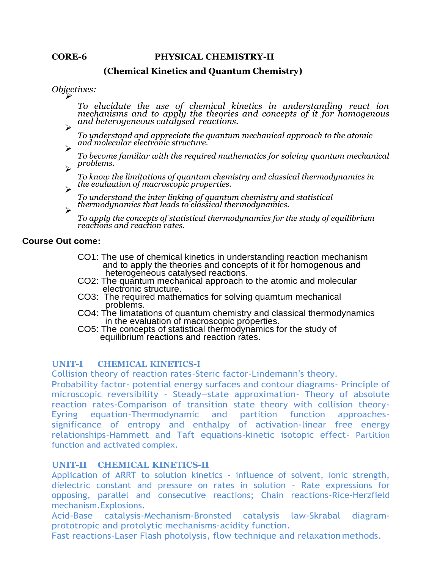#### **CORE-6 PHYSICAL CHEMISTRY-II**

#### **(Chemical Kinetics and Quantum Chemistry)**

*<i>Objectives:* 

*To elucidate the use of chemical kinetics in understanding react ion mechanisms and to apply the theories and concepts of it for homogenous and heterogeneous catalysed reactions.* ➢

*To understand and appreciate the quantum mechanical approach to the atomic and molecular electronic structure.* ➢

*To become familiar with the required mathematics for solving quantum mechanical problems.* ➢

*To know the limitations of quantum chemistry and classical thermodynamics in the evaluation of macroscopic properties.* ➢

*To understand the inter linking of quantum chemistry and statistical thermodynamics that leads to classical thermodynamics.* ➢

*To apply the concepts of statistical thermodynamics for the study of equilibrium reactions and reaction rates.*

#### **Course Out come:**

- CO1: The use of chemical kinetics in understanding reaction mechanism and to apply the theories and concepts of it for homogenous and heterogeneous catalysed reactions.
- CO2: The quantum mechanical approach to the atomic and molecular electronic structure.
- CO3: The required mathematics for solving quamtum mechanical problems.
- CO4: The limatations of quantum chemistry and classical thermodynamics in the evaluation of macroscopic properties.
- CO5: The concepts of statistical thermodynamics for the study of equilibrium reactions and reaction rates.

#### **UNIT-I CHEMICAL KINETICS-I**

Collision theory of reaction rates-Steric factor-Lindemann's theory.

Probability factor- potential energy surfaces and contour diagrams- Principle of microscopic reversibility - Steady–state approximation- Theory of absolute reaction rates-Comparison of transition state theory with collision theory-Eyring equation-Thermodynamic and partition function approachessignificance of entropy and enthalpy of activation-linear free energy relationships-Hammett and Taft equations-kinetic isotopic effect- Partition function and activated complex.

#### **UNIT-II CHEMICAL KINETICS-II**

Application of ARRT to solution kinetics - influence of solvent, ionic strength, dielectric constant and pressure on rates in solution - Rate expressions for opposing, parallel and consecutive reactions; Chain reactions-Rice-Herzfield mechanism.Explosions.

Acid-Base catalysis-Mechanism-Bronsted catalysis law-Skrabal diagramprototropic and protolytic mechanisms-acidity function.

Fast reactions-Laser Flash photolysis, flow technique and relaxation methods.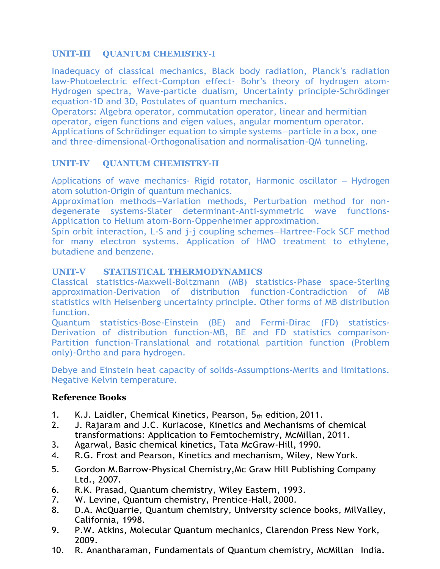# **UNIT-III QUANTUM CHEMISTRY-I**

Inadequacy of classical mechanics, Black body radiation, Planck's radiation law-Photoelectric effect-Compton effect- Bohr's theory of hydrogen atom-Hydrogen spectra, Wave-particle dualism, Uncertainty principle-Schrödinger equation-1D and 3D, Postulates of quantum mechanics.

Operators: Algebra operator, commutation operator, linear and hermitian operator, eigen functions and eigen values, angular momentum operator. Applications of Schrödinger equation to simple systems–particle in a box, one and three-dimensional-Orthogonalisation and normalisation-QM tunneling.

# **UNIT-IV QUANTUM CHEMISTRY-II**

Applications of wave mechanics- Rigid rotator, Harmonic oscillator – Hydrogen atom solution-Origin of quantum mechanics.

Approximation methods–Variation methods, Perturbation method for nondegenerate systems-Slater determinant-Anti-symmetric wave functions-Application to Helium atom-Born-Oppenheimer approximation.

Spin orbit interaction, L-S and j-j coupling schemes–Hartree-Fock SCF method for many electron systems. Application of HMO treatment to ethylene, butadiene and benzene.

# **UNIT-V STATISTICAL THERMODYNAMICS**

Classical statistics-Maxwell-Boltzmann (MB) statistics-Phase space-Sterling approximation-Derivation of distribution function-Contradiction of MB statistics with Heisenberg uncertainty principle. Other forms of MB distribution function.

Quantum statistics-Bose-Einstein (BE) and Fermi-Dirac (FD) statistics-Derivation of distribution function-MB, BE and FD statistics comparison-Partition function-Translational and rotational partition function (Problem only)-Ortho and para hydrogen.

Debye and Einstein heat capacity of solids-Assumptions-Merits and limitations. Negative Kelvin temperature.

- 1. K.J. Laidler, Chemical Kinetics, Pearson, 5th edition, 2011.
- 2. J. Rajaram and J.C. Kuriacose, Kinetics and Mechanisms of chemical transformations: Application to Femtochemistry, McMillan, 2011.
- 3. Agarwal, Basic chemical kinetics, Tata McGraw-Hill, 1990.
- 4. R.G. Frost and Pearson, Kinetics and mechanism, Wiley, New York.
- 5. Gordon M.Barrow-Physical Chemistry,Mc Graw Hill Publishing Company Ltd., 2007.
- 6. R.K. Prasad, Quantum chemistry, Wiley Eastern, 1993.
- 7. W. Levine, Quantum chemistry, Prentice-Hall, 2000.
- 8. D.A. McQuarrie, Quantum chemistry, University science books, MilValley, California, 1998.
- 9. P.W. Atkins, Molecular Quantum mechanics, Clarendon Press New York, 2009.
- 10. R. Anantharaman, Fundamentals of Quantum chemistry, McMillan India.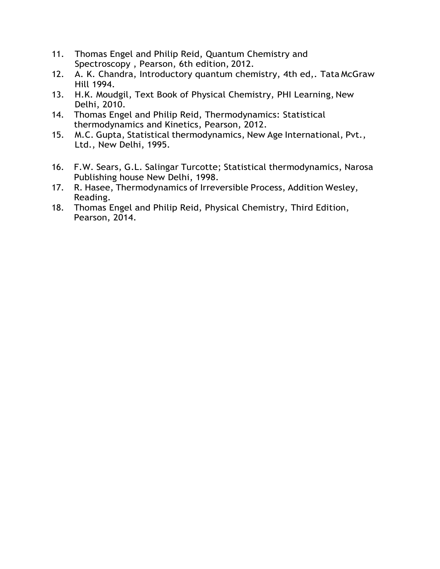- 11. Thomas Engel and Philip Reid, Quantum Chemistry and Spectroscopy , Pearson, 6th edition, 2012.
- 12. A. K. Chandra, Introductory quantum chemistry, 4th ed,. Tata McGraw Hill 1994.
- 13. H.K. Moudgil, Text Book of Physical Chemistry, PHI Learning, New Delhi, 2010.
- 14. Thomas Engel and Philip Reid, Thermodynamics: Statistical thermodynamics and Kinetics, Pearson, 2012.
- 15. M.C. Gupta, Statistical thermodynamics, New Age International, Pvt., Ltd., New Delhi, 1995.
- 16. F.W. Sears, G.L. Salingar Turcotte; Statistical thermodynamics, Narosa Publishing house New Delhi, 1998.
- 17. R. Hasee, Thermodynamics of Irreversible Process, Addition Wesley, Reading.
- 18. Thomas Engel and Philip Reid, Physical Chemistry, Third Edition, Pearson, 2014.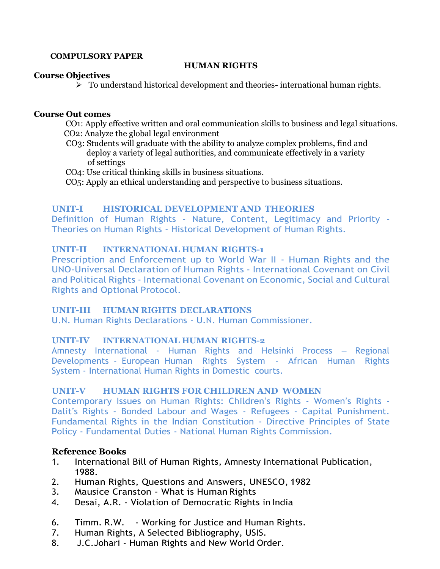#### **COMPULSORY PAPER**

## **HUMAN RIGHTS**

#### **Course Objectives**

➢ To understand historical development and theories- international human rights.

#### **Course Out comes**

 CO1: Apply effective written and oral communication skills to business and legal situations. CO2: Analyze the global legal environment

- CO3: Students will graduate with the ability to analyze complex problems, find and deploy a variety of legal authorities, and communicate effectively in a variety of settings
- CO4: Use critical thinking skills in business situations.
- CO5: Apply an ethical understanding and perspective to business situations.

## **UNIT-I HISTORICAL DEVELOPMENT AND THEORIES**

Definition of Human Rights - Nature, Content, Legitimacy and Priority - Theories on Human Rights - Historical Development of Human Rights.

# **UNIT-II INTERNATIONAL HUMAN RIGHTS-1**

Prescription and Enforcement up to World War II - Human Rights and the UNO-Universal Declaration of Human Rights - International Covenant on Civil and Political Rights - International Covenant on Economic, Social and Cultural Rights and Optional Protocol.

## **UNIT-III HUMAN RIGHTS DECLARATIONS**

U.N. Human Rights Declarations - U.N. Human Commissioner.

## **UNIT-IV INTERNATIONAL HUMAN RIGHTS-2**

Amnesty International - Human Rights and Helsinki Process – Regional Developments - European Human Rights System - African Human Rights System - International Human Rights in Domestic courts.

## **UNIT-V HUMAN RIGHTS FOR CHILDREN AND WOMEN**

Contemporary Issues on Human Rights: Children's Rights - Women's Rights - Dalit's Rights - Bonded Labour and Wages - Refugees - Capital Punishment. Fundamental Rights in the Indian Constitution - Directive Principles of State Policy - Fundamental Duties - National Human Rights Commission.

- 1. International Bill of Human Rights, Amnesty International Publication, 1988.
- 2. Human Rights, Questions and Answers, UNESCO, 1982
- 3. Mausice Cranston What is Human Rights
- 4. Desai, A.R. Violation of Democratic Rights in India
- 6. Timm. R.W. Working for Justice and Human Rights.
- 7. Human Rights, A Selected Bibliography, USIS.
- 8. J.C.Johari Human Rights and New World Order.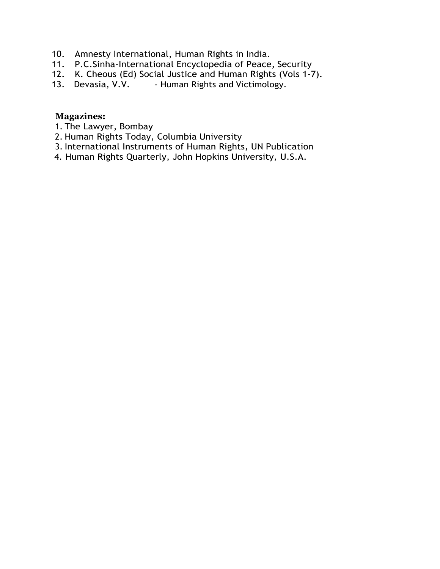- 10. Amnesty International, Human Rights in India.
- 11. P.C.Sinha-International Encyclopedia of Peace, Security
- 12. K. Cheous (Ed) Social Justice and Human Rights (Vols 1-7).<br>13. Devasia, V.V. Human Rights and Victimology.
- Human Rights and Victimology.

# **Magazines:**

- 1. The Lawyer, Bombay
- 2. Human Rights Today, Columbia University
- 3. International Instruments of Human Rights, UN Publication
- 4. Human Rights Quarterly, John Hopkins University, U.S.A.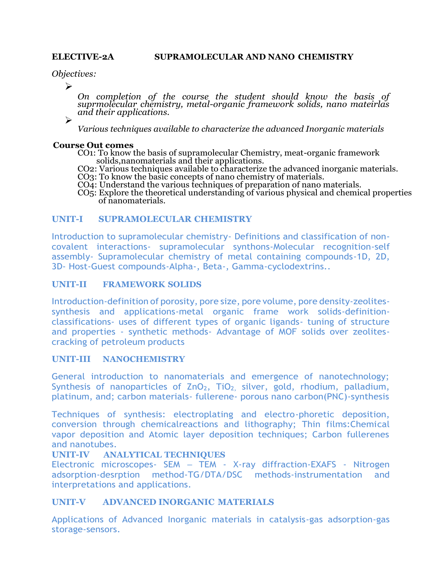*Objectives:*

➢

*On completion of the course the student should know the basis of suprmolecular chemistry, metal-organic framework solids, nano mateirlas and their applications.*

➢

*Various techniques available to characterize the advanced Inorganic materials*

#### **Course Out comes**

CO1: To know the basis of supramolecular Chemistry, meat-organic framework solids,nanomaterials and their applications.

CO2: Various techniques available to characterize the advanced inorganic materials.

CO3: To know the basic concepts of nano chemistry of materials.

CO4: Understand the various techniques of preparation of nano materials.

CO5: Explore the theoretical understanding of various physical and chemical properties of nanomaterials.

## **UNIT-I SUPRAMOLECULAR CHEMISTRY**

Introduction to supramolecular chemistry- Definitions and classification of noncovalent interactions- supramolecular synthons-Molecular recognition-self assembly- Supramolecular chemistry of metal containing compounds-1D, 2D, 3D- Host-Guest compounds-Alpha-, Beta-, Gamma-cyclodextrins..

#### **UNIT-II FRAMEWORK SOLIDS**

Introduction-definition of porosity, pore size, pore volume, pore density-zeolitessynthesis and applications-metal organic frame work solids-definitionclassifications- uses of different types of organic ligands- tuning of structure and properties - synthetic methods- Advantage of MOF solids over zeolitescracking of petroleum products

#### **UNIT-III NANOCHEMISTRY**

General introduction to nanomaterials and emergence of nanotechnology; Synthesis of nanoparticles of ZnO<sub>2</sub>, TiO<sub>2,</sub> silver, gold, rhodium, palladium, platinum, and; carbon materials- fullerene- porous nano carbon(PNC)-synthesis

Techniques of synthesis: electroplating and electro-phoretic deposition, conversion through chemicalreactions and lithography; Thin films:Chemical vapor deposition and Atomic layer deposition techniques; Carbon fullerenes and nanotubes.

## **UNIT-IV ANALYTICAL TECHNIQUES**

Electronic microscopes- SEM – TEM - X-ray diffraction-EXAFS - Nitrogen adsorption-desrption method-TG/DTA/DSC methods-instrumentation and interpretations and applications.

## **UNIT-V ADVANCED INORGANIC MATERIALS**

Applications of Advanced Inorganic materials in catalysis-gas adsorption-gas storage-sensors.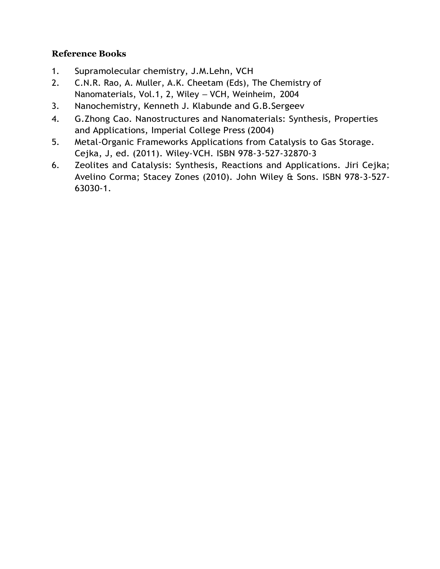- 1. Supramolecular chemistry, J.M.Lehn, VCH
- 2. C.N.R. Rao, A. Muller, A.K. Cheetam (Eds), The Chemistry of Nanomaterials, Vol.1, 2, Wiley – VCH, Weinheim, 2004
- 3. Nanochemistry, Kenneth J. Klabunde and G.B.Sergeev
- 4. G.Zhong Cao. Nanostructures and Nanomaterials: Synthesis, Properties and Applications, Imperial College Press (2004)
- 5. Metal-Organic Frameworks Applications from Catalysis to Gas Storage. Cejka, J, ed. (2011). [Wiley-VCH. ISBN](http://en.wikipedia.org/wiki/Wiley-VCH) 978-3-527-32870-3
- 6. [Zeolites and Catalysis: Synthesis, Reactions and Applications.](http://books.google.com/books?id=zMOghsHzg1YC) Jiri Cejka; Avelino Corma; Stacey Zones (2010). John Wiley & Sons. [ISBN 978-3-527-](http://en.wikipedia.org/wiki/International_Standard_Book_Number) 63030-1.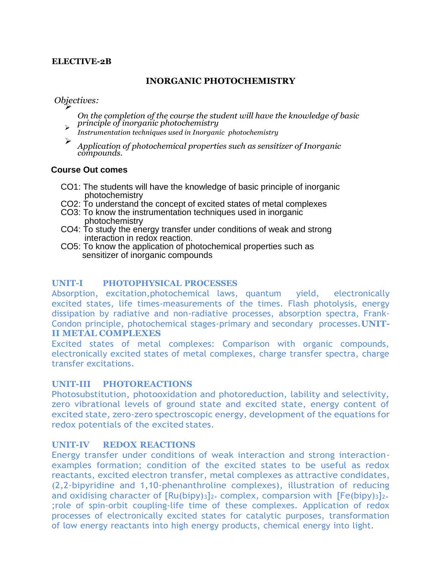## **ELECTIVE-2B**

## **INORGANIC PHOTOCHEMISTRY**

*Objectives:* ➢

- *On the completion of the course the student will have the knowledge of basic principle of inorganic photochemistry* ➢
- *Instrumentation techniques used in Inorganic photochemistry*
- ➢ *Application of photochemical properties such as sensitizer of Inorganic compounds.*

#### **Course Out comes**

- CO1: The students will have the knowledge of basic principle of inorganic photochemistry
- CO2: To understand the concept of excited states of metal complexes
- CO3: To know the instrumentation techniques used in inorganic photochemistry
- CO4: To study the energy transfer under conditions of weak and strong interaction in redox reaction.
- CO5: To know the application of photochemical properties such as sensitizer of inorganic compounds

## **UNIT-I PHOTOPHYSICAL PROCESSES**

Absorption, excitation,photochemical laws, quantum yield, electronically excited states, life times-measurements of the times. Flash photolysis, energy dissipation by radiative and non-radiative processes, absorption spectra, Frank-Condon principle, photochemical stages-primary and secondary processes.**UNIT-II METAL COMPLEXES**

Excited states of metal complexes: Comparison with organic compounds, electronically excited states of metal complexes, charge transfer spectra, charge transfer excitations.

#### **UNIT-III PHOTOREACTIONS**

Photosubstitution, photooxidation and photoreduction, lability and selectivity, zero vibrational levels of ground state and excited state, energy content of excited state, zero-zero spectroscopic energy, development of the equations for redox potentials of the excited states.

## **UNIT-IV REDOX REACTIONS**

Energy transfer under conditions of weak interaction and strong interactionexamples formation; condition of the excited states to be useful as redox reactants, excited electron transfer, metal complexes as attractive condidates, (2,2-bipyridine and 1,10-phenanthroline complexes), illustration of reducing and oxidising character of  $\left[\text{Ru(bipy)}_{3}\right]_{2+}$  complex, comparsion with  $\left[\text{Fe(bipy)}_{3}\right]_{2+}$ ;role of spin-orbit coupling-life time of these complexes. Application of redox processes of electronically excited states for catalytic purposes, transformation of low energy reactants into high energy products, chemical energy into light.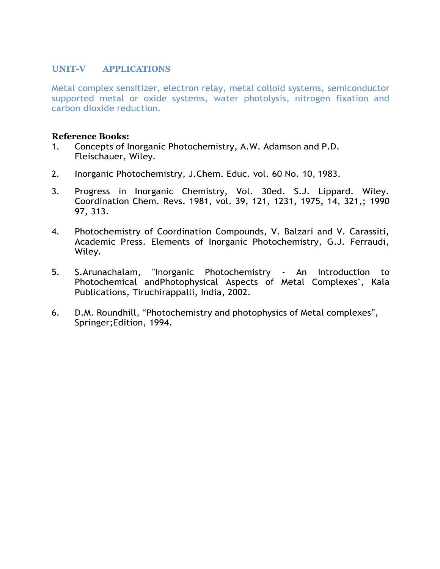## **UNIT-V APPLICATIONS**

Metal complex sensitizer, electron relay, metal colloid systems, semiconductor supported metal or oxide systems, water photolysis, nitrogen fixation and carbon dioxide reduction.

- 1. Concepts of Inorganic Photochemistry, A.W. Adamson and P.D. Fleischauer, Wiley.
- 2. Inorganic Photochemistry, J.Chem. Educ. vol. 60 No. 10, 1983.
- 3. Progress in Inorganic Chemistry, Vol. 30ed. S.J. Lippard. Wiley. Coordination Chem. Revs. 1981, vol. 39, 121, 1231, 1975, 14, 321,; 1990 97, 313.
- 4. Photochemistry of Coordination Compounds, V. Balzari and V. Carassiti, Academic Press. Elements of Inorganic Photochemistry, G.J. Ferraudi, Wiley.
- 5. S.Arunachalam, "Inorganic Photochemistry An Introduction to Photochemical andPhotophysical Aspects of Metal Complexes", Kala Publications, Tiruchirappalli, India, 2002.
- 6. D.M. Roundhill, "Photochemistry and photophysics of Metal complexes", Springer;Edition, 1994.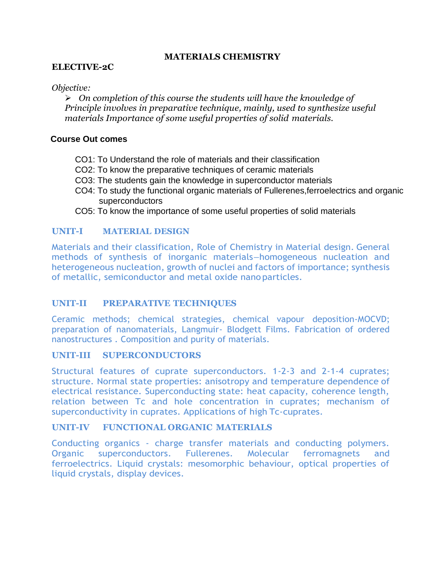## **MATERIALS CHEMISTRY**

## **ELECTIVE-2C**

## *Objective:*

➢ *On completion of this course the students will have the knowledge of Principle involves in preparative technique, mainly, used to synthesize useful materials Importance of some useful properties of solid materials.*

## **Course Out comes**

- CO1: To Understand the role of materials and their classification
- CO2: To know the preparative techniques of ceramic materials
- CO3: The students gain the knowledge in superconductor materials
- CO4: To study the functional organic materials of Fullerenes,ferroelectrics and organic superconductors
- CO5: To know the importance of some useful properties of solid materials

## **UNIT-I MATERIAL DESIGN**

Materials and their classification, Role of Chemistry in Material design. General methods of synthesis of inorganic materials–homogeneous nucleation and heterogeneous nucleation, growth of nuclei and factors of importance; synthesis of metallic, semiconductor and metal oxide nanoparticles.

## **UNIT-II PREPARATIVE TECHNIQUES**

Ceramic methods; chemical strategies, chemical vapour deposition-MOCVD; preparation of nanomaterials, Langmuir- Blodgett Films. Fabrication of ordered nanostructures . Composition and purity of materials.

## **UNIT-III SUPERCONDUCTORS**

Structural features of cuprate superconductors. 1-2-3 and 2-1-4 cuprates; structure. Normal state properties: anisotropy and temperature dependence of electrical resistance. Superconducting state: heat capacity, coherence length, relation between Tc and hole concentration in cuprates; mechanism of superconductivity in cuprates. Applications of high Tc-cuprates.

## **UNIT-IV FUNCTIONAL ORGANIC MATERIALS**

Conducting organics - charge transfer materials and conducting polymers. Organic superconductors. Fullerenes. Molecular ferromagnets and ferroelectrics. Liquid crystals: mesomorphic behaviour, optical properties of liquid crystals, display devices.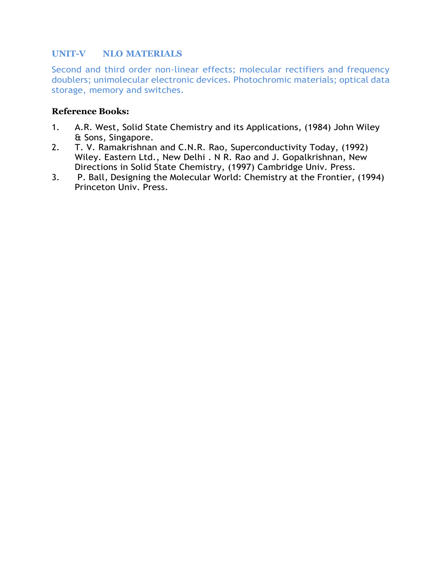## **UNIT-V NLO MATERIALS**

Second and third order non-linear effects; molecular rectifiers and frequency doublers; unimolecular electronic devices. Photochromic materials; optical data storage, memory and switches.

- 1. A.R. West, Solid State Chemistry and its Applications, (1984) John Wiley & Sons, Singapore.
- 2. T. V. Ramakrishnan and C.N.R. Rao, Superconductivity Today, (1992) Wiley. Eastern Ltd., New Delhi . N R. Rao and J. Gopalkrishnan, New Directions in Solid State Chemistry, (1997) Cambridge Univ. Press.
- 3. P. Ball, Designing the Molecular World: Chemistry at the Frontier, (1994) Princeton Univ. Press.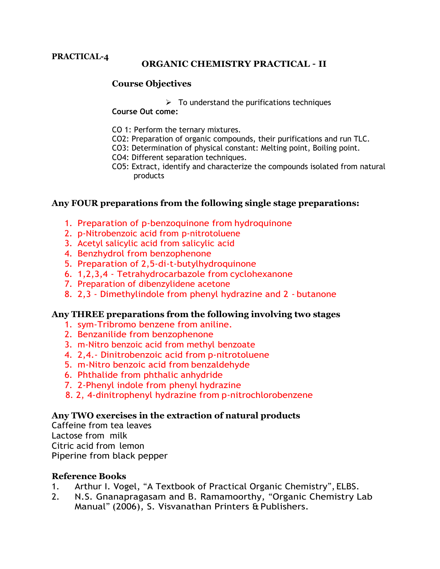#### **PRACTICAL-4**

## **ORGANIC CHEMISTRY PRACTICAL – II**

## **Course Objectives**

 $\triangleright$  To understand the purifications techniques

**Course Out come:**

- CO 1: Perform the ternary mixtures.
- CO2: Preparation of organic compounds, their purifications and run TLC.
- CO3: Determination of physical constant: Melting point, Boiling point.
- CO4: Different separation techniques.
- CO5: Extract, identify and characterize the compounds isolated from natural products

## **Any FOUR preparations from the following single stage preparations:**

- 1. Preparation of p-benzoquinone from hydroquinone
- 2. p-Nitrobenzoic acid from p-nitrotoluene
- 3. Acetyl salicylic acid from salicylic acid
- 4. Benzhydrol from benzophenone
- 5. Preparation of 2,5-di-t-butylhydroquinone
- 6. 1,2,3,4 Tetrahydrocarbazole from cyclohexanone
- 7. Preparation of dibenzylidene acetone
- 8. 2,3 Dimethylindole from phenyl hydrazine and 2 butanone

## **Any THREE preparations from the following involving two stages**

- 1. sym-Tribromo benzene from aniline.
- 2. Benzanilide from benzophenone
- 3. m-Nitro benzoic acid from methyl benzoate
- 4. 2,4.- Dinitrobenzoic acid from p-nitrotoluene
- 5. m-Nitro benzoic acid from benzaldehyde
- 6. Phthalide from phthalic anhydride
- 7. 2-Phenyl indole from phenyl hydrazine
- 8. 2, 4-dinitrophenyl hydrazine from p-nitrochlorobenzene

## **Any TWO exercises in the extraction of natural products**

Caffeine from tea leaves Lactose from milk Citric acid from lemon Piperine from black pepper

- 1. Arthur I. Vogel, "A Textbook of Practical Organic Chemistry", ELBS.
- 2. N.S. Gnanapragasam and B. Ramamoorthy, "Organic Chemistry Lab Manual" (2006), S. Visvanathan Printers & Publishers.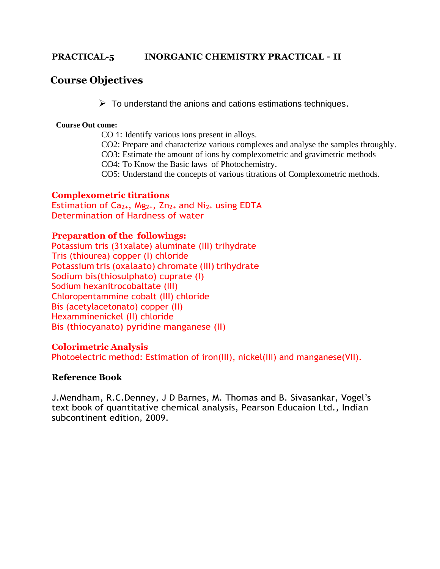## **PRACTICAL-5 INORGANIC CHEMISTRY PRACTICAL – II**

## **Course Objectives**

 $\triangleright$  To understand the anions and cations estimations techniques.

#### **Course Out come:**

CO 1: Identify various ions present in alloys.

CO2: Prepare and characterize various complexes and analyse the samples throughly.

CO3: Estimate the amount of ions by complexometric and gravimetric methods

CO4: To Know the Basic laws of Photochemistry.

CO5: Understand the concepts of various titrations of Complexometric methods.

## **Complexometric titrations**

Estimation of  $Ca_{2+}$ , Mg<sub>2+</sub>, Zn<sub>2+</sub> and Ni<sub>2+</sub> using EDTA Determination of Hardness of water

## **Preparation of the followings:**

Potassium tris (31xalate) aluminate (III) trihydrate Tris (thiourea) copper (I) chloride Potassium tris (oxalaato) chromate (III) trihydrate Sodium bis(thiosulphato) cuprate (I) Sodium hexanitrocobaltate (III) Chloropentammine cobalt (III) chloride Bis (acetylacetonato) copper (II) Hexamminenickel (II) chloride Bis (thiocyanato) pyridine manganese (II)

## **Colorimetric Analysis**

Photoelectric method: Estimation of iron(III), nickel(III) and manganese(VII).

## **Reference Book**

J.Mendham, R.C.Denney, J D Barnes, M. Thomas and B. Sivasankar, Vogel's text book of quantitative chemical analysis, Pearson Educaion Ltd., Indian subcontinent edition, 2009.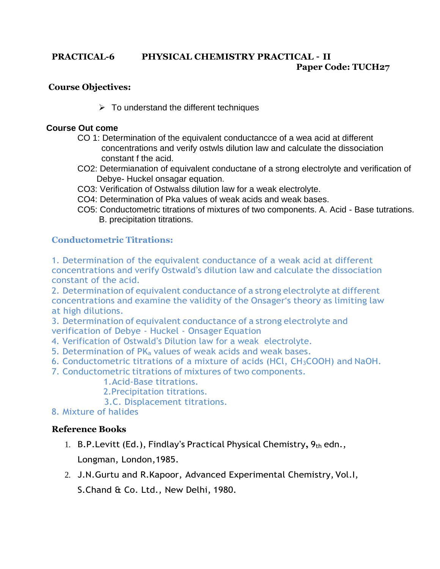## **PRACTICAL-6 PHYSICAL CHEMISTRY PRACTICAL – II Paper Code: TUCH27**

## **Course Objectives:**

 $\triangleright$  To understand the different techniques

## **Course Out come**

- CO 1: Determination of the equivalent conductancce of a wea acid at different concentrations and verify ostwls dilution law and calculate the dissociation constant f the acid.
- CO2: Determianation of equivalent conductane of a strong electrolyte and verification of Debye- Huckel onsagar equation.
- CO3: Verification of Ostwalss dilution law for a weak electrolyte.
- CO4: Determination of Pka values of weak acids and weak bases.
- CO5: Conductometric titrations of mixtures of two components. A. Acid Base tutrations. B. precipitation titrations.

## **Conductometric Titrations:**

1. Determination of the equivalent conductance of a weak acid at different concentrations and verify Ostwald's dilution law and calculate the dissociation constant of the acid.

2. Determination of equivalent conductance of a strong electrolyte at different concentrations and examine the validity of the Onsager's theory as limiting law at high dilutions.

3. Determination of equivalent conductance of a strong electrolyte and

verification of Debye - Huckel - Onsager Equation

- 4. Verification of Ostwald's Dilution law for a weak electrolyte.
- 5. Determination of PK<sub>a</sub> values of weak acids and weak bases.
- 6. Conductometric titrations of a mixture of acids (HCl, CH3COOH) and NaOH.
- 7. Conductometric titrations of mixtures of two components.
	- 1.Acid-Base titrations.
	- 2.Precipitation titrations.
	- 3.C. Displacement titrations.
- 8. Mixture of halides

- 1. B.P. Levitt (Ed.), Findlay's Practical Physical Chemistry, 9th edn., Longman, London,1985.
- 2. J.N.Gurtu and R.Kapoor, Advanced Experimental Chemistry, Vol.I, S.Chand & Co. Ltd., New Delhi, 1980.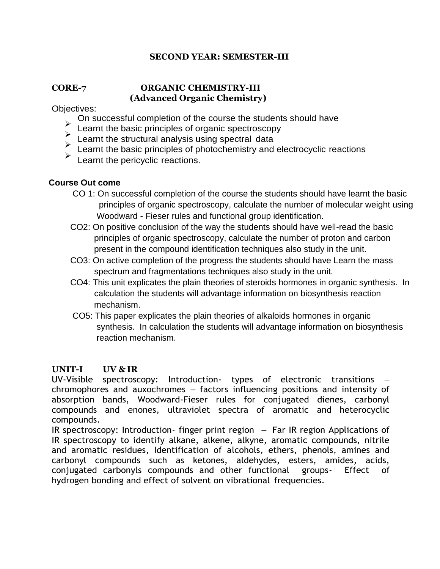## **SECOND YEAR: SEMESTER-III**

## **CORE-7 ORGANIC CHEMISTRY-III (Advanced Organic Chemistry)**

Objectives:

- 
- 
- 
- On successful completion of the course the students should have<br>Learnt the basic principles of organic spectroscopy<br>Learnt the structural analysis using spectral data<br>Learnt the basic principles of photochemistry and elect
- 

## **Course Out come**

- CO 1: On successful completion of the course the students should have learnt the basic principles of organic spectroscopy, calculate the number of molecular weight using Woodward - Fieser rules and functional group identification.
- CO2: On positive conclusion of the way the students should have well-read the basic principles of organic spectroscopy, calculate the number of proton and carbon present in the compound identification techniques also study in the unit.
- CO3: On active completion of the progress the students should have Learn the mass spectrum and fragmentations techniques also study in the unit.
- CO4: This unit explicates the plain theories of steroids hormones in organic synthesis. In calculation the students will advantage information on biosynthesis reaction mechanism.
- CO5: This paper explicates the plain theories of alkaloids hormones in organic synthesis. In calculation the students will advantage information on biosynthesis reaction mechanism.

## **UNIT-I UV & IR**

UV-Visible spectroscopy: Introduction- types of electronic transitions – chromophores and auxochromes – factors influencing positions and intensity of absorption bands, Woodward-Fieser rules for conjugated dienes, carbonyl compounds and enones, ultraviolet spectra of aromatic and heterocyclic compounds.

IR spectroscopy: Introduction- finger print region – Far IR region Applications of IR spectroscopy to identify alkane, alkene, alkyne, aromatic compounds, nitrile and aromatic residues, Identification of alcohols, ethers, phenols, amines and carbonyl compounds such as ketones, aldehydes, esters, amides, acids, conjugated carbonyls compounds and other functional groups- Effect of hydrogen bonding and effect of solvent on vibrational frequencies.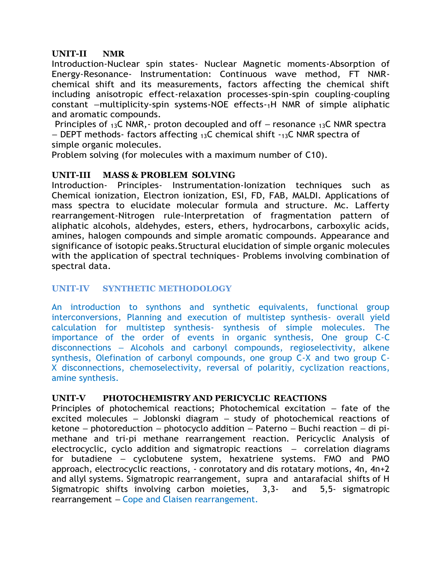## **UNIT-II NMR**

Introduction-Nuclear spin states- Nuclear Magnetic moments-Absorption of Energy-Resonance- Instrumentation: Continuous wave method, FT NMRchemical shift and its measurements, factors affecting the chemical shift including anisotropic effect-relaxation processes-spin-spin coupling-coupling constant –multiplicity-spin systems-NOE effects-1H NMR of simple aliphatic and aromatic compounds.

Principles of  $_{13}$ C NMR,- proton decoupled and off – resonance  $_{13}$ C NMR spectra  $-$  DEPT methods- factors affecting  $13C$  chemical shift  $-13C$  NMR spectra of simple organic molecules.

Problem solving (for molecules with a maximum number of C10).

## **UNIT-III MASS & PROBLEM SOLVING**

Introduction- Principles- Instrumentation-Ionization techniques such as Chemical ionization, Electron ionization, ESI, FD, FAB, MALDI. Applications of mass spectra to elucidate molecular formula and structure. Mc. Lafferty rearrangement-Nitrogen rule-Interpretation of fragmentation pattern of aliphatic alcohols, aldehydes, esters, ethers, hydrocarbons, carboxylic acids, amines, halogen compounds and simple aromatic compounds. Appearance and significance of isotopic peaks.Structural elucidation of simple organic molecules with the application of spectral techniques- Problems involving combination of spectral data.

## **UNIT-IV SYNTHETIC METHODOLOGY**

An introduction to synthons and synthetic equivalents, functional group interconversions, Planning and execution of multistep synthesis- overall yield calculation for multistep synthesis- synthesis of simple molecules. The importance of the order of events in organic synthesis, One group C-C disconnections – Alcohols and carbonyl compounds, regioselectivity, alkene synthesis, Olefination of carbonyl compounds, one group C-X and two group C-X disconnections, chemoselectivity, reversal of polaritiy, cyclization reactions, amine synthesis.

## **UNIT-V PHOTOCHEMISTRY AND PERICYCLIC REACTIONS**

Principles of photochemical reactions; Photochemical excitation – fate of the excited molecules – Joblonski diagram – study of photochemical reactions of ketone – photoreduction – photocyclo addition – Paterno – Buchi reaction – di pimethane and tri-pi methane rearrangement reaction. Pericyclic Analysis of electrocyclic, cyclo addition and sigmatropic reactions – correlation diagrams for butadiene – cyclobutene system, hexatriene systems. FMO and PMO approach, electrocyclic reactions, - conrotatory and dis rotatary motions, 4n, 4n+2 and allyl systems. Sigmatropic rearrangement, supra and antarafacial shifts of H Sigmatropic shifts involving carbon moieties, 3,3- and 5,5- sigmatropic rearrangement – Cope and Claisen rearrangement.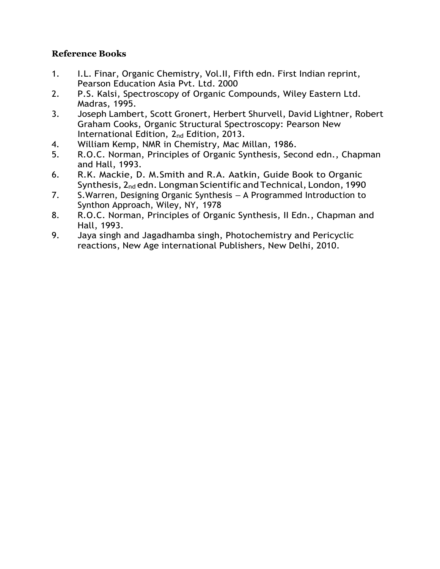- 1. I.L. Finar, Organic Chemistry, Vol.II, Fifth edn. First Indian reprint, Pearson Education Asia Pvt. Ltd. 2000
- 2. P.S. Kalsi, Spectroscopy of Organic Compounds, Wiley Eastern Ltd. Madras, 1995.
- 3. Joseph [Lambert,](http://www.pearsoned.co.uk/bookshop/Results.asp?iCurPage=1&Type=1&Author=Joseph%2BLambert&Download=1&SearchTerm=Joseph%2BLambert) Scott [Gronert,](http://www.pearsoned.co.uk/bookshop/Results.asp?iCurPage=1&Type=1&Author=Joseph%2BLambert&Download=1&SearchTerm=Joseph%2BLambert) Herbert [Shurvell,](http://www.pearsoned.co.uk/bookshop/Results.asp?iCurPage=1&Type=1&Author=%2BHerbert%2BShurvell&Download=1&SearchTerm=%2BHerbert%2BShurvell) David [Lightner,](http://www.pearsoned.co.uk/bookshop/Results.asp?iCurPage=1&Type=1&Author=%2BHerbert%2BShurvell&Download=1&SearchTerm=%2BHerbert%2BShurvell) [Robert](http://www.pearsoned.co.uk/bookshop/Results.asp?iCurPage=1&Type=1&Author=%2BRobert%2BGraham%2BCooks&Download=1&SearchTerm=%2BRobert%2BGraham%2BCooks) [Graham Cooks, Organic Structural Spectroscopy: Pearson New](http://www.pearsoned.co.uk/bookshop/Results.asp?iCurPage=1&Type=1&Author=%2BRobert%2BGraham%2BCooks&Download=1&SearchTerm=%2BRobert%2BGraham%2BCooks) [International Edition, 2](http://www.pearsoned.co.uk/bookshop/detail.asp?item=100000000562969)<sub>nd</sub> Edition, 2013.
- 4. William Kemp, NMR in Chemistry, Mac Millan, 1986.
- 5. R.O.C. Norman, Principles of Organic Synthesis, Second edn., Chapman and Hall, 1993.
- 6. R.K. Mackie, D. M.Smith and R.A. Aatkin, Guide Book to Organic Synthesis, 2<sub>nd</sub> edn. Longman Scientific and Technical, London, 1990
- 7. S.Warren, Designing Organic Synthesis A Programmed Introduction to Synthon Approach, Wiley, NY, 1978
- 8. R.O.C. Norman, Principles of Organic Synthesis, II Edn., Chapman and Hall, 1993.
- 9. Jaya singh and Jagadhamba singh, Photochemistry and Pericyclic reactions, New Age international Publishers, New Delhi, 2010.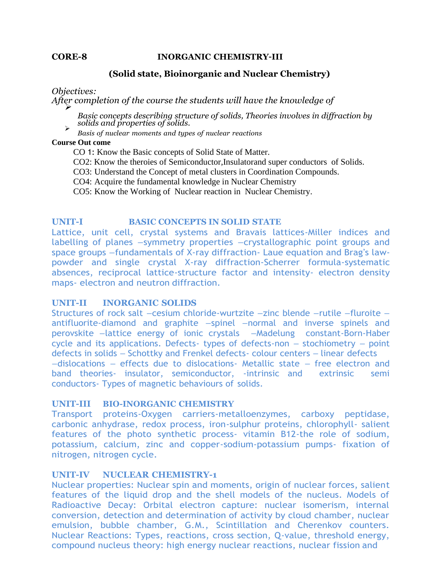#### **CORE-8 INORGANIC CHEMISTRY–III**

#### **(Solid state, Bioinorganic and Nuclear Chemistry)**

*Objectives:*

After completion of the course the students will have the knowledge of

*Basic concepts describing structure of solids, Theories involves in diffraction by solids and properties of solids.* ➢

*Basis of nuclear moments and types of nuclear reactions*

#### **Course Out come**

- CO 1: Know the Basic concepts of Solid State of Matter.
- CO2: Know the theroies of Semiconductor,Insulatorand super conductors of Solids.
- CO3: Understand the Concept of metal clusters in Coordination Compounds.
- CO4: Acquire the fundamental knowledge in Nuclear Chemistry
- CO5: Know the Working of Nuclear reaction in Nuclear Chemistry.

#### **UNIT-I BASIC CONCEPTS IN SOLID STATE**

Lattice, unit cell, crystal systems and Bravais lattices-Miller indices and labelling of planes –symmetry properties –crystallographic point groups and space groups –fundamentals of X-ray diffraction- Laue equation and Brag's lawpowder and single crystal X-ray diffraction-Scherrer formula-systematic absences, reciprocal lattice-structure factor and intensity- electron density maps- electron and neutron diffraction.

#### **UNIT-II INORGANIC SOLIDS**

Structures of rock salt –cesium chloride-wurtzite –zinc blende –rutile –fluroite – antifluorite-diamond and graphite –spinel –normal and inverse spinels and perovskite –lattice energy of ionic crystals –Madelung constant-Born-Haber cycle and its applications. Defects- types of defects-non – stochiometry – point defects in solids – Schottky and Frenkel defects- colour centers – linear defects –dislocations – effects due to dislocations- Metallic state – free electron and band theories- insulator, semiconductor, -intrinsic and extrinsic semi conductors- Types of magnetic behaviours of solids.

#### **UNIT-III BIO-INORGANIC CHEMISTRY**

Transport proteins-Oxygen carriers-metalloenzymes, carboxy peptidase, carbonic anhydrase, redox process, iron-sulphur proteins, chlorophyll- salient features of the photo synthetic process- vitamin B12-the role of sodium, potassium, calcium, zinc and copper-sodium-potassium pumps- fixation of nitrogen, nitrogen cycle.

## **UNIT-IV NUCLEAR CHEMISTRY-1**

Nuclear properties: Nuclear spin and moments, origin of nuclear forces, salient features of the liquid drop and the shell models of the nucleus. Models of Radioactive Decay: Orbital electron capture: nuclear isomerism, internal conversion, detection and determination of activity by cloud chamber, nuclear emulsion, bubble chamber, G.M., Scintillation and Cherenkov counters. Nuclear Reactions: Types, reactions, cross section, Q-value, threshold energy, compound nucleus theory: high energy nuclear reactions, nuclear fission and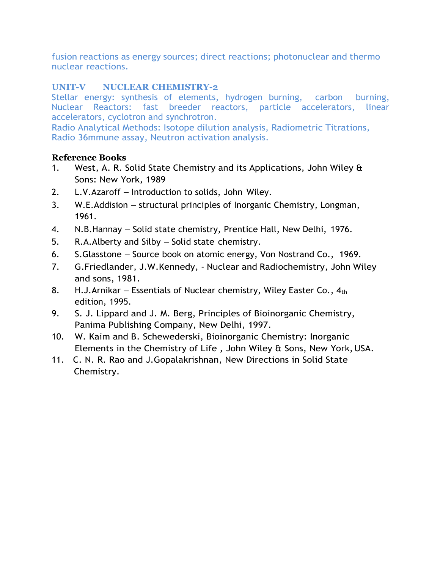fusion reactions as energy sources; direct reactions; photonuclear and thermo nuclear reactions.

## **UNIT-V NUCLEAR CHEMISTRY-2**

Stellar energy: synthesis of elements, hydrogen burning, carbon burning, Nuclear Reactors: fast breeder reactors, particle accelerators, linear accelerators, cyclotron and synchrotron.

Radio Analytical Methods: Isotope dilution analysis, Radiometric Titrations, Radio 36mmune assay, Neutron activation analysis.

- 1. West, A. R. Solid State Chemistry and its Applications, John Wiley & Sons: New York, 1989
- 2. L.V.Azaroff Introduction to solids, John Wiley.
- 3. W.E.Addision structural principles of Inorganic Chemistry, Longman, 1961.
- 4. N.B.Hannay Solid state chemistry, Prentice Hall, New Delhi, 1976.
- 5. R.A.Alberty and Silby Solid state chemistry.
- 6. S.Glasstone Source book on atomic energy, Von Nostrand Co., 1969.
- 7. G.Friedlander, J.W.Kennedy, Nuclear and Radiochemistry, John Wiley and sons, 1981.
- 8. H.J.Arnikar Essentials of Nuclear chemistry, Wiley Easter Co.,  $4<sub>th</sub>$ edition, 1995.
- 9. S. J. Lippard and J. M. Berg, Principles of Bioinorganic Chemistry, Panima Publishing Company, New Delhi, 1997.
- 10. W. Kaim and B. Schewederski, Bioinorganic Chemistry: Inorganic Elements in the Chemistry of Life , John Wiley & Sons, New York,USA.
- 11. C. N. R. Rao and J.Gopalakrishnan, New Directions in Solid State Chemistry.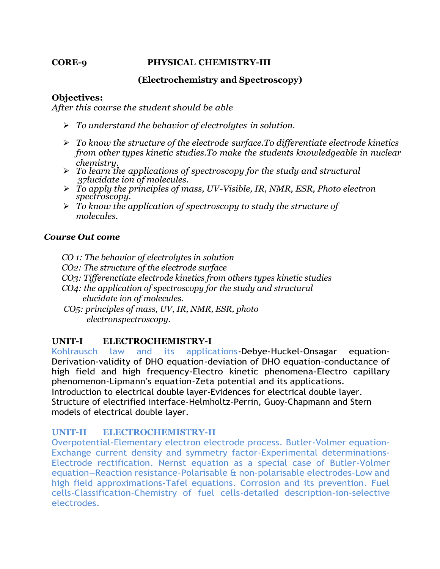#### **CORE-9 PHYSICAL CHEMISTRY-III**

## **(Electrochemistry and Spectroscopy)**

## **Objectives:**

*After this course the student should be able*

- ➢ *To understand the behavior of electrolytes in solution.*
- ➢ *To know the structure of the electrode surface.To differentiate electrode kinetics from other types kinetic studies.To make the students knowledgeable in nuclear chemistry.*
- ➢ *To learn the applications of spectroscopy for the study and structural 37lucidate ion of molecules.*
- ➢ *To apply the principles of mass, UV-Visible, IR, NMR, ESR, Photo electron*  ➢ •*spectroscopy.*
- ➢ *To know the application of spectroscopy to study the structure of molecules.*

## *Course Out come*

 *CO 1: The behavior of electrolytes in solution CO2: The structure of the electrode surface CO3: Tifferenctiate electrode kinetics from others types kinetic studies CO4: the application of spectroscopy for the study and structural elucidate ion of molecules. CO5: principles of mass, UV, IR, NMR, ESR, photo electronspectroscopy.*

## **UNIT-I ELECTROCHEMISTRY-I**

Kohlrausch law and its applications-Debye-Huckel-Onsagar equation-Derivation-validity of DHO equation-deviation of DHO equation-conductance of high field and high frequency-Electro kinetic phenomena-Electro capillary phenomenon-Lipmann's equation-Zeta potential and its applications. Introduction to electrical double layer-Evidences for electrical double layer. Structure of electrified interface-Helmholtz-Perrin, Guoy-Chapmann and Stern models of electrical double layer.

## **UNIT–II ELECTROCHEMISTRY-II**

Overpotential-Elementary electron electrode process. Butler-Volmer equation-Exchange current density and symmetry factor-Experimental determinations-Electrode rectification. Nernst equation as a special case of Butler-Volmer equation–Reaction resistance-Polarisable & non-polarisable electrodes-Low and high field approximations-Tafel equations. Corrosion and its prevention. Fuel cells-Classification-Chemistry of fuel cells-detailed description-ion-selective electrodes.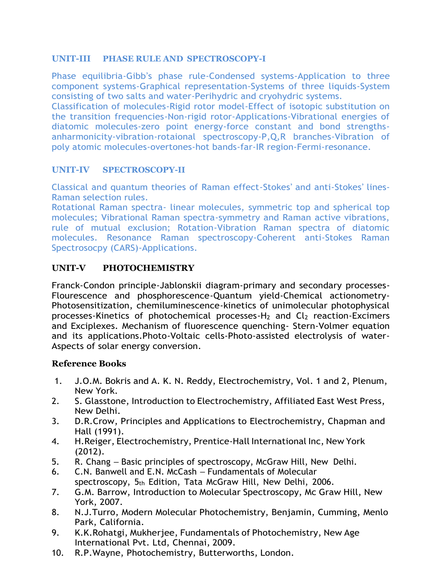## **UNIT-III PHASE RULE AND SPECTROSCOPY-I**

Phase equilibria-Gibb's phase rule-Condensed systems-Application to three component systems-Graphical representation-Systems of three liquids-System consisting of two salts and water-Perihydric and cryohydric systems.

Classification of molecules-Rigid rotor model-Effect of isotopic substitution on the transition frequencies-Non-rigid rotor-Applications-Vibrational energies of diatomic molecules-zero point energy-force constant and bond strengthsanharmonicity-vibration-rotaional spectroscopy-P,Q,R branches-Vibration of poly atomic molecules-overtones-hot bands-far-IR region-Fermi-resonance.

## **UNIT-IV SPECTROSCOPY-II**

Classical and quantum theories of Raman effect-Stokes' and anti-Stokes' lines-Raman selection rules.

Rotational Raman spectra- linear molecules, symmetric top and spherical top molecules; Vibrational Raman spectra-symmetry and Raman active vibrations, rule of mutual exclusion; Rotation-Vibration Raman spectra of diatomic molecules. Resonance Raman spectroscopy-Coherent anti-Stokes Raman Spectrosocpy (CARS)-Applications.

## **UNIT-V PHOTOCHEMISTRY**

Franck-Condon principle-Jablonskii diagram-primary and secondary processes-Flourescence and phosphorescence-Quantum yield-Chemical actionometry-Photosensitization, chemiluminescence-kinetics of unimolecular photophysical processes-Kinetics of photochemical processes-H<sup>2</sup> and Cl<sup>2</sup> reaction-Excimers and Exciplexes. Mechanism of fluorescence quenching- Stern-Volmer equation and its applications.Photo-Voltaic cells-Photo-assisted electrolysis of water-Aspects of solar energy conversion.

- 1. J.O.M. Bokris and A. K. N. Reddy, Electrochemistry, Vol. 1 and 2, Plenum, New York.
- 2. S. Glasstone, Introduction to Electrochemistry, Affiliated East West Press, New Delhi.
- 3. D.R.Crow, Principles and Applications to Electrochemistry, Chapman and Hall (1991).
- 4. H.Reiger, Electrochemistry, Prentice-Hall International Inc, New York (2012).
- 5. R. Chang Basic principles of spectroscopy, McGraw Hill, New Delhi.
- 6. C.N. Banwell and E.N. McCash Fundamentals of Molecular spectroscopy,  $5<sub>th</sub>$  Edition, Tata McGraw Hill, New Delhi, 2006.
- 7. G.M. Barrow, Introduction to Molecular Spectroscopy, Mc Graw Hill, New York, 2007.
- 8. N.J.Turro, Modern Molecular Photochemistry, Benjamin, Cumming, Menlo Park, California.
- 9. K.K.Rohatgi, Mukherjee, Fundamentals of Photochemistry, New Age International Pvt. Ltd, Chennai, 2009.
- 10. R.P.Wayne, Photochemistry, Butterworths, London.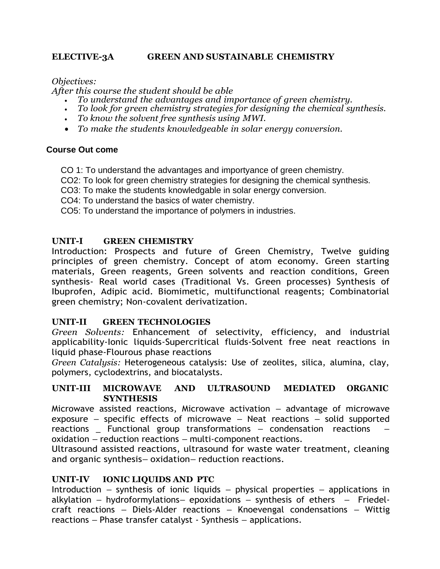## **ELECTIVE-3A GREEN AND SUSTAINABLE CHEMISTRY**

*Objectives:*

*After this course the student should be able*

- *To understand the advantages and importance of green chemistry.*
- *To look for green chemistry strategies for designing the chemical synthesis.*
- *To know the solvent free synthesis using MWI.*
- *To make the students knowledgeable in solar energy conversion.*

## **Course Out come**

- CO 1: To understand the advantages and importyance of green chemistry.
- CO2: To look for green chemistry strategies for designing the chemical synthesis.
- CO3: To make the students knowledgable in solar energy conversion.
- CO4: To understand the basics of water chemistry.
- CO5: To understand the importance of polymers in industries.

## **UNIT-I GREEN CHEMISTRY**

Introduction: Prospects and future of Green Chemistry, Twelve guiding principles of green chemistry. Concept of atom economy. Green starting materials, Green reagents, Green solvents and reaction conditions, Green synthesis- Real world cases (Traditional Vs. Green processes) Synthesis of Ibuprofen, Adipic acid. Biomimetic, multifunctional reagents; Combinatorial green chemistry; Non-covalent derivatization.

## **UNIT-II GREEN TECHNOLOGIES**

*Green Solvents:* Enhancement of selectivity, efficiency, and industrial applicability-Ionic liquids-Supercritical fluids-Solvent free neat reactions in liquid phase-Flourous phase reactions

*Green Catalysis:* Heterogeneous catalysis: Use of zeolites, silica, alumina, clay, polymers, cyclodextrins, and biocatalysts.

## **UNIT-III MICROWAVE AND ULTRASOUND MEDIATED ORGANIC SYNTHESIS**

Microwave assisted reactions, Microwave activation – advantage of microwave exposure – specific effects of microwave – Neat reactions – solid supported reactions \_ Functional group transformations – condensation reactions – oxidation – reduction reactions – multi-component reactions.

Ultrasound assisted reactions, ultrasound for waste water treatment, cleaning and organic synthesis– oxidation– reduction reactions.

## **UNIT-IV IONIC LIQUIDS AND PTC**

Introduction – synthesis of ionic liquids – physical properties – applications in alkylation – hydroformylations– epoxidations – synthesis of ethers – Friedelcraft reactions – Diels-Alder reactions – Knoevengal condensations – Wittig reactions – Phase transfer catalyst - Synthesis – applications.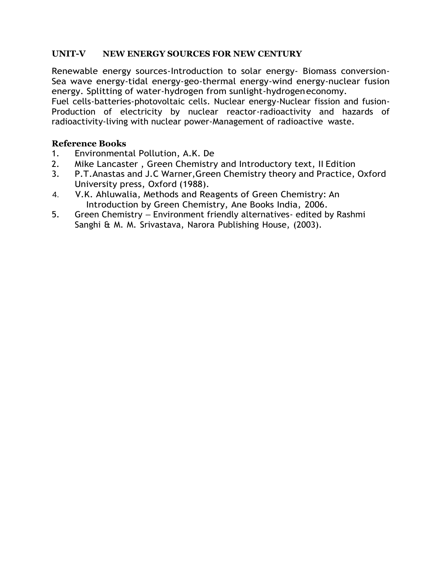## **UNIT-V NEW ENERGY SOURCES FOR NEW CENTURY**

Renewable energy sources-Introduction to solar energy- Biomass conversion-Sea wave energy-tidal energy-geo-thermal energy-wind energy-nuclear fusion energy. Splitting of water-hydrogen from sunlight-hydrogeneconomy.

Fuel cells-batteries-photovoltaic cells. Nuclear energy-Nuclear fission and fusion-Production of electricity by nuclear reactor-radioactivity and hazards of radioactivity-living with nuclear power-Management of radioactive waste.

- 1. Environmental Pollution, A.K. De
- 2. Mike Lancaster , Green Chemistry and Introductory text, II Edition
- 3. P.T.Anastas and J.C Warner,Green Chemistry theory and Practice, Oxford University press, Oxford (1988).
- 4. V.K. Ahluwalia, Methods and Reagents of Green Chemistry: An Introduction by Green Chemistry, Ane Books India, 2006.
- 5. Green Chemistry Environment friendly alternatives- edited by Rashmi Sanghi & M. M. Srivastava, Narora Publishing House, (2003).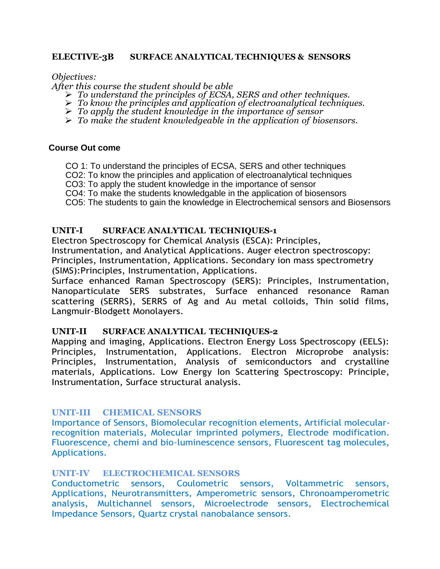#### **ELECTIVE-3B SURFACE ANALYTICAL TECHNIQUES & SENSORS**

*Objectives:*

*After this course the student should be able*

- ➢ *To understand the principles of ECSA, SERS and other techniques.*
- ➢ *To know the principles and application of electroanalytical techniques.*
- ➢ *To apply the student knowledge in the importance of sensor*
- ➢ *To make the student knowledgeable in the application of biosensors.*

#### **Course Out come**

CO 1: To understand the principles of ECSA, SERS and other techniques

- CO2: To know the principles and application of electroanalytical techniques
- CO3: To apply the student knowledge in the importance of sensor
- CO4: To make the students knowledgable in the application of biosensors
- CO5: The students to gain the knowledge in Electrochemical sensors and Biosensors

#### **UNIT-I SURFACE ANALYTICAL TECHNIQUES-1**

Electron Spectroscopy for Chemical Analysis (ESCA): Principles, Instrumentation, and Analytical Applications. Auger electron spectroscopy: Principles, Instrumentation, Applications. Secondary ion mass spectrometry (SIMS):Principles, Instrumentation, Applications.

Surface enhanced Raman Spectroscopy (SERS): Principles, Instrumentation, Nanoparticulate SERS substrates, Surface enhanced resonance Raman scattering (SERRS), SERRS of Ag and Au metal colloids, Thin solid films, Langmuir-Blodgett Monolayers.

#### **UNIT-II SURFACE ANALYTICAL TECHNIQUES-2**

Mapping and imaging, Applications. Electron Energy Loss Spectroscopy (EELS): Principles, Instrumentation, Applications. Electron Microprobe analysis: Principles, Instrumentation, Analysis of semiconductors and crystalline materials, Applications. Low Energy Ion Scattering Spectroscopy: Principle, Instrumentation, Surface structural analysis.

## **UNIT-III CHEMICAL SENSORS**

Importance of Sensors, Biomolecular recognition elements, Artificial molecularrecognition materials, Molecular imprinted polymers, Electrode modification. Fluorescence, chemi and bio-luminescence sensors, Fluorescent tag molecules, Applications.

#### **UNIT-IV ELECTROCHEMICAL SENSORS**

Conductometric sensors, Coulometric sensors, Voltammetric sensors, Applications, Neurotransmitters, Amperometric sensors, Chronoamperometric analysis, Multichannel sensors, Microelectrode sensors, Electrochemical Impedance Sensors, Quartz crystal nanobalance sensors.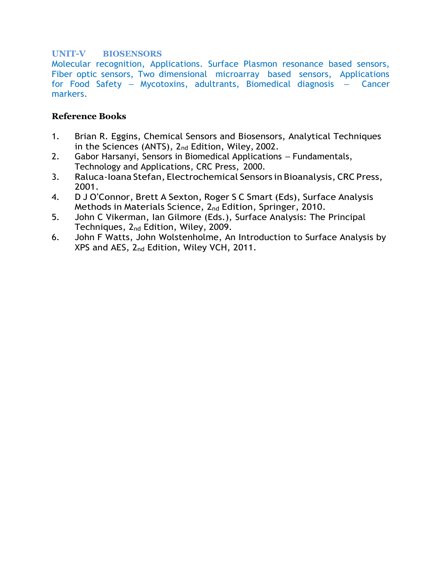## **UNIT-V BIOSENSORS**

Molecular recognition, Applications. Surface Plasmon resonance based sensors, Fiber optic sensors, Two dimensional microarray based sensors, Applications for Food Safety – Mycotoxins, adultrants, Biomedical diagnosis – Cancer markers.

- 1. Brian R. Eggins, Chemical Sensors and Biosensors, Analytical Techniques in the Sciences (ANTS), 2<sub>nd</sub> Edition, Wiley, 2002.
- 2. Gabor Harsanyi, Sensors in Biomedical Applications Fundamentals, Technology and Applications, CRC Press, 2000.
- 3. Raluca-Ioana Stefan, Electrochemical Sensors in Bioanalysis, CRC Press, 2001.
- 4. D J O'Connor, Brett A Sexton, Roger S C Smart (Eds), Surface Analysis Methods in Materials Science, 2<sub>nd</sub> Edition, Springer, 2010.
- 5. John C Vikerman, Ian Gilmore (Eds.), Surface Analysis: The Principal Techniques, 2nd Edition, Wiley, 2009.
- 6. John F Watts, John Wolstenholme, An Introduction to Surface Analysis by XPS and AES, 2nd Edition, Wiley VCH, 2011.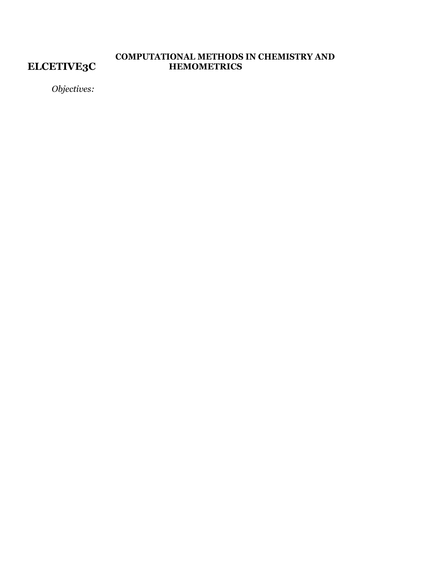**ELCETIVE3C**

## **COMPUTATIONAL METHODS IN CHEMISTRY AND HEMOMETRICS**

*Objectives:*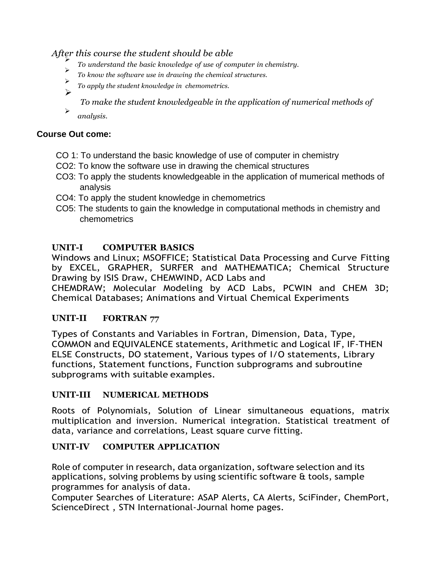*After this course the student should be able*

- ➢ *To understand the basic knowledge of use of computer in chemistry.*
- ➢ *To know the software use in drawing the chemical structures.*
- ➢ *To apply the student knowledge in chemometrics.* ➢
	- *To make the student knowledgeable in the application of numerical methods of*
- ➢ *analysis.*

## **Course Out come:**

- CO 1: To understand the basic knowledge of use of computer in chemistry
- CO2: To know the software use in drawing the chemical structures
- CO3: To apply the students knowledgeable in the application of mumerical methods of analysis
- CO4: To apply the student knowledge in chemometrics
- CO5: The students to gain the knowledge in computational methods in chemistry and chemometrics

## **UNIT-I COMPUTER BASICS**

Windows and Linux; MSOFFICE; Statistical Data Processing and Curve Fitting by EXCEL, GRAPHER, SURFER and MATHEMATICA; Chemical Structure Drawing by ISIS Draw, CHEMWIND, ACD Labs and

CHEMDRAW; Molecular Modeling by ACD Labs, PCWIN and CHEM 3D; Chemical Databases; Animations and Virtual Chemical Experiments

## **UNIT-II FORTRAN 77**

Types of Constants and Variables in Fortran, Dimension, Data, Type, COMMON and EQUIVALENCE statements, Arithmetic and Logical IF, IF-THEN ELSE Constructs, DO statement, Various types of I/O statements, Library functions, Statement functions, Function subprograms and subroutine subprograms with suitable examples.

## **UNIT-III NUMERICAL METHODS**

Roots of Polynomials, Solution of Linear simultaneous equations, matrix multiplication and inversion. Numerical integration. Statistical treatment of data, variance and correlations, Least square curve fitting.

## **UNIT-IV COMPUTER APPLICATION**

Role of computer in research, data organization, software selection and its applications, solving problems by using scientific software & tools, sample programmes for analysis of data.

Computer Searches of Literature: ASAP Alerts, CA Alerts, SciFinder, ChemPort, ScienceDirect , STN International-Journal home pages.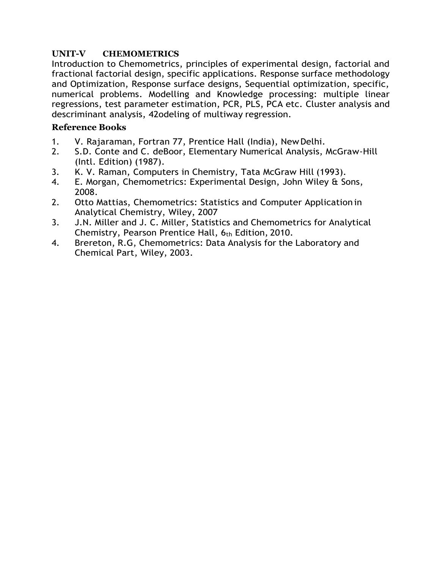## **UNIT-V CHEMOMETRICS**

Introduction to Chemometrics, principles of experimental design, factorial and fractional factorial design, specific applications. Response surface methodology and Optimization, Response surface designs, Sequential optimization, specific, numerical problems. Modelling and Knowledge processing: multiple linear regressions, test parameter estimation, PCR, PLS, PCA etc. Cluster analysis and descriminant analysis, 42odeling of multiway regression.

- 1. V. Rajaraman, Fortran 77, Prentice Hall (India), NewDelhi.
- 2. S.D. Conte and C. deBoor, Elementary Numerical Analysis, McGraw-Hill (Intl. Edition) (1987).
- 3. K. V. Raman, Computers in Chemistry, Tata McGraw Hill (1993).
- 4. E. Morgan, Chemometrics: Experimental Design, John Wiley & Sons, 2008.
- 2. Otto Mattias, Chemometrics: Statistics and Computer Application in Analytical Chemistry, Wiley, 2007
- 3. J.N. Miller and J. C. Miller, Statistics and Chemometrics for Analytical Chemistry, Pearson Prentice Hall, 6th Edition, 2010.
- 4. Brereton, R.G, Chemometrics: Data Analysis for the Laboratory and Chemical Part, Wiley, 2003.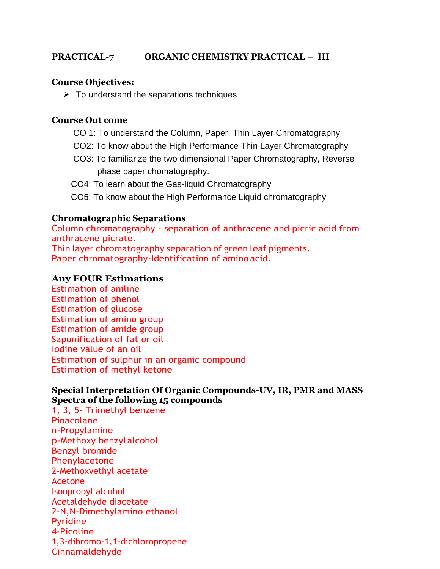## **PRACTICAL-7 ORGANIC CHEMISTRY PRACTICAL – III**

## **Course Objectives:**

 $\triangleright$  To understand the separations techniques

#### **Course Out come**

- CO 1: To understand the Column, Paper, Thin Layer Chromatography
- CO2: To know about the High Performance Thin Layer Chromatography
- CO3: To familiarize the two dimensional Paper Chromatography, Reverse phase paper chomatography.
- CO4: To learn about the Gas-liquid Chromatography
- CO5: To know about the High Performance Liquid chromatography

#### **Chromatographic Separations**

Column chromatography - separation of anthracene and picric acid from anthracene picrate. Thin layer chromatography separation of green leaf pigments.

Paper chromatography-Identification of amino acid.

## **Any FOUR Estimations**

Estimation of aniline Estimation of phenol Estimation of glucose Estimation of amino group Estimation of amide group Saponification of fat or oil Iodine value of an oil Estimation of sulphur in an organic compound Estimation of methyl ketone

#### **Special Interpretation Of Organic Compounds-UV, IR, PMR and MASS Spectra of the following 15 compounds**

1, 3, 5- Trimethyl benzene Pinacolane n-Propylamine p-Methoxy benzyl alcohol Benzyl bromide Phenylacetone 2-Methoxyethyl acetate Acetone Isoopropyl alcohol Acetaldehyde diacetate 2-N,N-Dimethylamino ethanol Pyridine 4-Picoline 1,3-dibromo-1,1-dichloropropene Cinnamaldehyde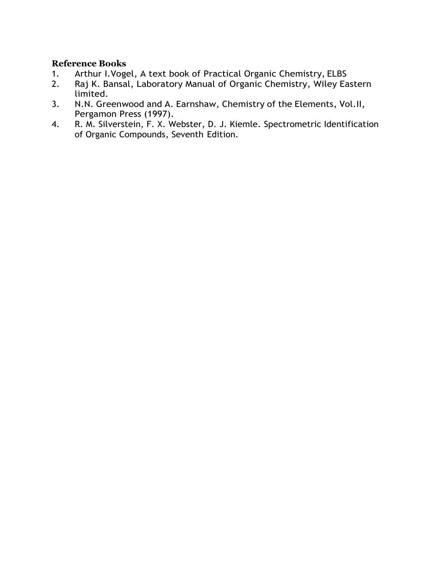- 1. Arthur I.Vogel, A text book of Practical Organic Chemistry, ELBS
- 2. Raj K. Bansal, Laboratory Manual of Organic Chemistry, Wiley Eastern limited.
- 3. N.N. Greenwood and A. Earnshaw, Chemistry of the Elements, Vol.II, Pergamon Press (1997).
- 4. R. M. Silverstein, F. X. Webster, D. J. Kiemle. Spectrometric Identification of Organic Compounds, Seventh Edition.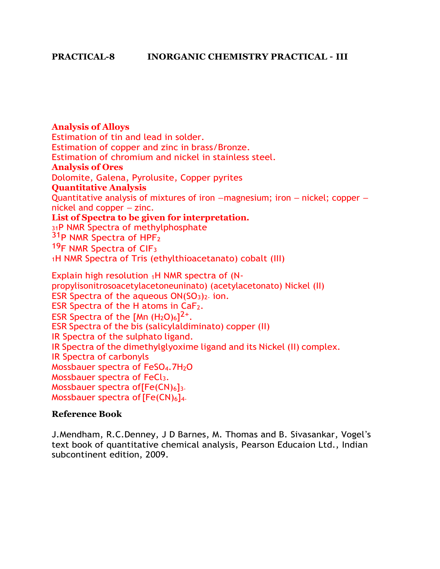**Analysis of Alloys** Estimation of tin and lead in solder. Estimation of copper and zinc in brass/Bronze. Estimation of chromium and nickel in stainless steel. **Analysis of Ores** Dolomite, Galena, Pyrolusite, Copper pyrites **Quantitative Analysis** Quantitative analysis of mixtures of iron –magnesium; iron – nickel; copper – nickel and copper – zinc. **List of Spectra to be given for interpretation.** <sup>31</sup>P NMR Spectra of methylphosphate 31<sub>P</sub> NMR Spectra of HPF<sub>2</sub> <sup>19</sup>F NMR Spectra of CIF<sub>3</sub> <sup>1</sup>H NMR Spectra of Tris (ethylthioacetanato) cobalt (III) Explain high resolution  $1H$  NMR spectra of (Npropylisonitrosoacetylacetoneuninato) (acetylacetonato) Nickel (II) ESR Spectra of the aqueous  $ON(SO<sub>3</sub>)<sub>2</sub>$  ion. ESR Spectra of the H atoms in  $CaF<sub>2</sub>$ . ESR Spectra of the [Mn  $(H_2O)_6$ ]<sup>2+</sup>. ESR Spectra of the bis (salicylaldiminato) copper (II) IR Spectra of the sulphato ligand. IR Spectra of the dimethylglyoxime ligand and its Nickel (II) complex. IR Spectra of carbonyls Mossbauer spectra of FeSO<sub>4</sub>.7H<sub>2</sub>O Mossbauer spectra of FeCl<sub>3</sub>. Mossbauer spectra of  $[Fe(CN)_6]$ <sub>3</sub>. Mossbauer spectra of  $[Fe(CN)_6]_{4-}$ 

## **Reference Book**

J.Mendham, R.C.Denney, J D Barnes, M. Thomas and B. Sivasankar, Vogel's text book of quantitative chemical analysis, Pearson Educaion Ltd., Indian subcontinent edition, 2009.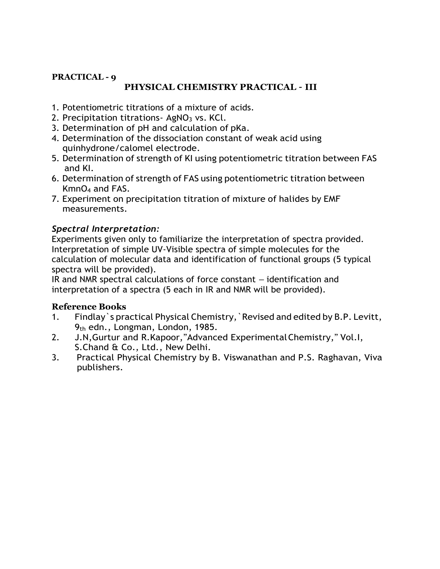# **PRACTICAL - 9**

## **PHYSICAL CHEMISTRY PRACTICAL – III**

- 1. Potentiometric titrations of a mixture of acids.
- 2. Precipitation titrations AgNO<sub>3</sub> vs. KCl.
- 3. Determination of pH and calculation of pKa.
- 4. Determination of the dissociation constant of weak acid using quinhydrone/calomel electrode.
- 5. Determination of strength of KI using potentiometric titration between FAS and KI.
- 6. Determination of strength of FAS using potentiometric titration between KmnO<sup>4</sup> and FAS.
- 7. Experiment on precipitation titration of mixture of halides by EMF measurements.

## *Spectral Interpretation:*

Experiments given only to familiarize the interpretation of spectra provided. Interpretation of simple UV-Visible spectra of simple molecules for the calculation of molecular data and identification of functional groups (5 typical spectra will be provided).

IR and NMR spectral calculations of force constant – identification and interpretation of a spectra (5 each in IR and NMR will be provided).

- 1. Findlay`s practical Physical Chemistry,`Revised and edited by B.P. Levitt,  $9<sub>th</sub>$  edn., Longman, London, 1985.
- 2. J.N,Gurtur and R.Kapoor,"Advanced ExperimentalChemistry," Vol.I, S.Chand & Co., Ltd., New Delhi.
- 3. Practical Physical Chemistry by B. Viswanathan and P.S. Raghavan, Viva publishers.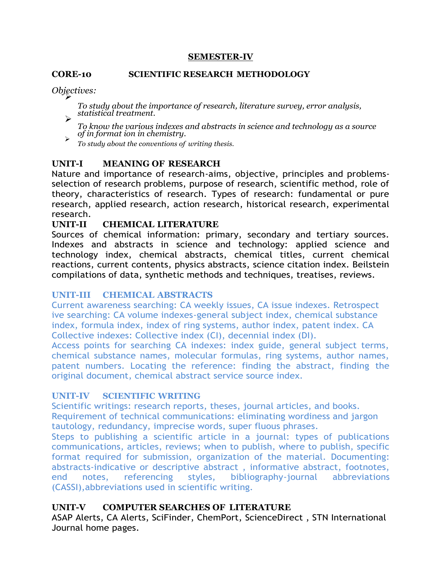#### **SEMESTER-IV**

#### **CORE-10 SCIENTIFIC RESEARCH METHODOLOGY**

*<i>Objectives:* 

*To study about the importance of research, literature survey, error analysis, statistical treatment.* ➢

*To know the various indexes and abstracts in science and technology as a source of in format ion in chemistry.* ➢

*To study about the conventions of writing thesis.*

## **UNIT-I MEANING OF RESEARCH**

Nature and importance of research-aims, objective, principles and problemsselection of research problems, purpose of research, scientific method, role of theory, characteristics of research. Types of research: fundamental or pure research, applied research, action research, historical research, experimental research.

## **UNIT-II CHEMICAL LITERATURE**

Sources of chemical information: primary, secondary and tertiary sources. Indexes and abstracts in science and technology: applied science and technology index, chemical abstracts, chemical titles, current chemical reactions, current contents, physics abstracts, science citation index. Beilstein compilations of data, synthetic methods and techniques, treatises, reviews.

## **UNIT-III CHEMICAL ABSTRACTS**

Current awareness searching: CA weekly issues, CA issue indexes. Retrospect ive searching: CA volume indexes-general subject index, chemical substance index, formula index, index of ring systems, author index, patent index. CA Collective indexes: Collective index (CI), decennial index (DI).

Access points for searching CA indexes: index guide, general subject terms, chemical substance names, molecular formulas, ring systems, author names, patent numbers. Locating the reference: finding the abstract, finding the original document, chemical abstract service source index.

## **UNIT-IV SCIENTIFIC WRITING**

Scientific writings: research reports, theses, journal articles, and books. Requirement of technical communications: eliminating wordiness and jargon tautology, redundancy, imprecise words, super fluous phrases.

Steps to publishing a scientific article in a journal: types of publications communications, articles, reviews; when to publish, where to publish, specific format required for submission, organization of the material. Documenting: abstracts-indicative or descriptive abstract , informative abstract, footnotes, end notes, referencing styles, bibliography-journal abbreviations (CASSI),abbreviations used in scientific writing.

## **UNIT-V COMPUTER SEARCHES OF LITERATURE**

ASAP Alerts, CA Alerts, SciFinder, ChemPort, ScienceDirect , STN International Journal home pages.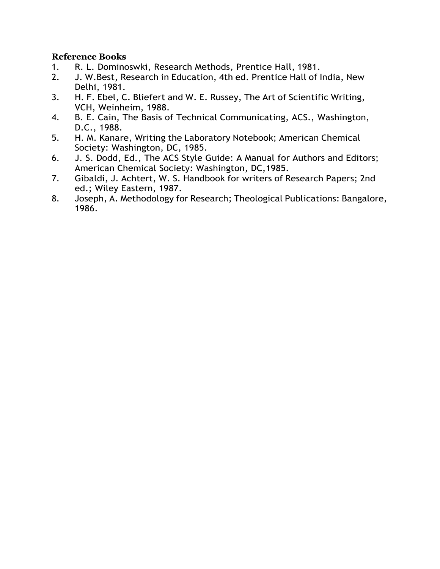- 1. R. L. Dominoswki, Research Methods, Prentice Hall, 1981.
- 2. J. W.Best, Research in Education, 4th ed. Prentice Hall of India, New Delhi, 1981.
- 3. H. F. Ebel, C. Bliefert and W. E. Russey, The Art of Scientific Writing, VCH, Weinheim, 1988.
- 4. B. E. Cain, The Basis of Technical Communicating, ACS., Washington, D.C., 1988.
- 5. H. M. Kanare, Writing the Laboratory Notebook; American Chemical Society: Washington, DC, 1985.
- 6. J. S. Dodd, Ed., The ACS Style Guide: A Manual for Authors and Editors; American Chemical Society: Washington, DC,1985.
- 7. Gibaldi, J. Achtert, W. S. Handbook for writers of Research Papers; 2nd ed.; Wiley Eastern, 1987.
- 8. Joseph, A. Methodology for Research; Theological Publications: Bangalore, 1986.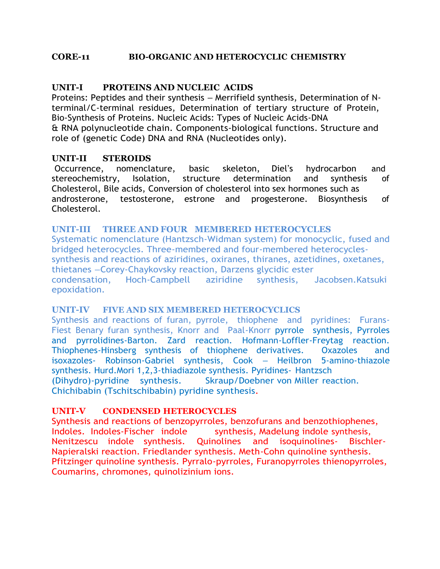#### **CORE-11 BIO-ORGANIC AND HETEROCYCLIC CHEMISTRY**

### **UNIT-I PROTEINS AND NUCLEIC ACIDS**

Proteins: Peptides and their synthesis – Merrifield synthesis, Determination of Nterminal/C-terminal residues, Determination of tertiary structure of Protein, Bio-Synthesis of Proteins. Nucleic Acids: Types of Nucleic Acids-DNA & RNA polynucleotide chain. Components-biological functions. Structure and role of (genetic Code) DNA and RNA (Nucleotides only).

#### **UNIT-II STEROIDS**

Occurrence, nomenclature, basic skeleton, Diel's hydrocarbon and stereochemistry, Isolation, structure determination and synthesis of Cholesterol, Bile acids, Conversion of cholesterol into sex hormones such as androsterone, testosterone, estrone and progesterone. Biosynthesis of Cholesterol.

#### **UNIT-III THREE AND FOUR MEMBERED HETEROCYCLES**

Systematic nomenclature (Hantzsch-Widman system) for monocyclic, fused and bridged heterocycles. Three-membered and four-membered heterocyclessynthesis and reactions of aziridines, oxiranes, thiranes, azetidines, oxetanes, thietanes –Corey-Chaykovsky reaction, Darzens glycidic ester condensation, Hoch-Campbell aziridine synthesis, Jacobsen.Katsuki epoxidation.

#### **UNIT-IV FIVE AND SIX MEMBERED HETEROCYCLICS**

Synthesis and reactions of furan, pyrrole, thiophene and pyridines: Furans-Fiest Benary furan synthesis, Knorr and Paal-Knorr pyrrole synthesis, Pyrroles and pyrrolidines-Barton. Zard reaction. Hofmann-Loffler-Freytag reaction. Thiophenes-Hinsberg synthesis of thiophene derivatives. Oxazoles and isoxazoles- Robinson-Gabriel synthesis, Cook – Heilbron 5-amino-thiazole synthesis. Hurd.Mori 1,2,3-thiadiazole synthesis. Pyridines- Hantzsch (Dihydro)-pyridine synthesis. Skraup/Doebner von Miller reaction. Chichibabin (Tschitschibabin) pyridine synthesis.

#### **UNIT-V CONDENSED HETEROCYCLES**

Synthesis and reactions of benzopyrroles, benzofurans and benzothiophenes, Indoles. Indoles-Fischer indole synthesis, Madelung indole synthesis, Nenitzescu indole synthesis. Quinolines and isoquinolines- Bischler-Napieralski reaction. Friedlander synthesis. Meth-Cohn quinoline synthesis. Pfitzinger quinoline synthesis. Pyrralo-pyrroles, Furanopyrroles thienopyrroles, Coumarins, chromones, quinolizinium ions.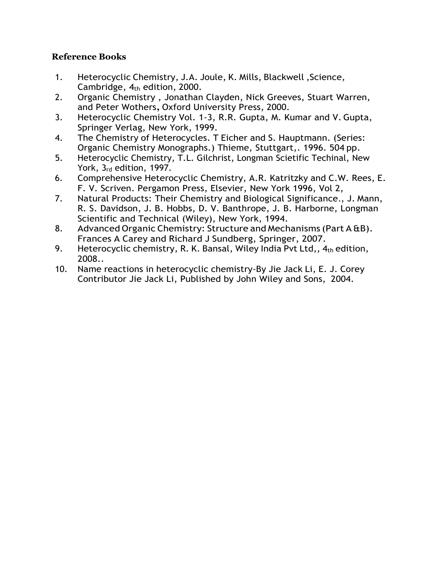- 1. Heterocyclic Chemistry, J.A. Joule, K. Mills, Blackwell ,Science, Cambridge,  $4<sub>th</sub>$  edition, 2000.
- 2. Organic Chemistry , Jonathan Clayden, Nick Greeves, Stuart Warren, and Peter Wothers**,** Oxford University Press, 2000.
- 3. Heterocyclic Chemistry Vol. 1-3, R.R. Gupta, M. Kumar and V. Gupta, Springer Verlag, New York, 1999.
- 4. The Chemistry of Heterocycles. T Eicher and S. Hauptmann. (Series: Organic Chemistry Monographs.) Thieme, Stuttgart,. 1996. 504 pp.
- 5. Heterocyclic Chemistry, T.L. Gilchrist, Longman Scietific Techinal, New York, 3rd edition, 1997.
- 6. Comprehensive Heterocyclic Chemistry, A.R. Katritzky and C.W. Rees, E. F. V. Scriven. Pergamon Press, Elsevier, New York 1996, Vol 2,
- 7. Natural Products: Their Chemistry and Biological Significance*.*, J. Mann, R. S. Davidson, J. B. Hobbs, D. V. Banthrope, J. B. Harborne, Longman Scientific and Technical (Wiley), New York, 1994.
- 8. Advanced Organic Chemistry: Structure and Mechanisms (Part A &B). Frances A Carey and Richard J Sundberg, Springer, 2007.
- 9. Heterocyclic chemistry, R. K. Bansal, Wiley India Pvt Ltd,,  $4<sub>th</sub>$  edition, 2008..
- 10. Name reactions in heterocyclic chemistry-By Jie Jack Li, E. J. Corey Contributor Jie Jack Li, Published by John Wiley and Sons, 2004.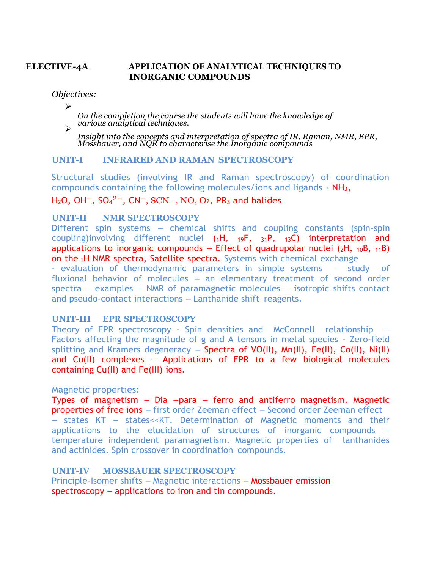## **ELECTIVE-4A APPLICATION OF ANALYTICAL TECHNIQUES TO INORGANIC COMPOUNDS**

*Objectives:*

➢

*On the completion the course the students will have the knowledge of various analytical techniques.* ➢

*Insight into the concepts and interpretation of spectra of IR, Raman, NMR, EPR, Mossbauer, and NQR to characterise the Inorganic compounds*

#### **UNIT-I INFRARED AND RAMAN SPECTROSCOPY**

Structural studies (involving IR and Raman spectroscopy) of coordination compounds containing the following molecules/ions and ligands - NH3,

 $H_2O$ , OH<sup>-</sup>, SO<sub>4</sub><sup>2-</sup>, CN<sup>-</sup>, SCN-, NO, O<sub>2</sub>, PR<sub>3</sub> and halides

#### **UNIT-II NMR SPECTROSCOPY**

Different spin systems – chemical shifts and coupling constants (spin-spin coupling)involving different nuclei (1H, 19F, 31P, 13C) interpretation and applications to inorganic compounds – Effect of quadrupolar nuclei  $(2H, 10B, 11B)$ on the <sup>1</sup>H NMR spectra, Satellite spectra. Systems with chemical exchange

- evaluation of thermodynamic parameters in simple systems – study of fluxional behavior of molecules – an elementary treatment of second order spectra – examples – NMR of paramagnetic molecules – isotropic shifts contact and pseudo-contact interactions – Lanthanide shift reagents.

#### **UNIT-III EPR SPECTROSCOPY**

Theory of EPR spectroscopy - Spin densities and McConnell relationship Factors affecting the magnitude of g and A tensors in metal species - Zero-field splitting and Kramers degeneracy – Spectra of VO(II), Mn(II), Fe(II), Co(II), Ni(II) and Cu(II) complexes – Applications of EPR to a few biological molecules containing Cu(II) and Fe(III) ions.

#### Magnetic properties:

Types of magnetism  $-$  Dia  $-p$ ara  $-$  ferro and antiferro magnetism. Magnetic properties of free ions – first order Zeeman effect – Second order Zeeman effect – states KT – states<<KT. Determination of Magnetic moments and their applications to the elucidation of structures of inorganic compounds – temperature independent paramagnetism. Magnetic properties of lanthanides and actinides. Spin crossover in coordination compounds.

## **UNIT-IV MOSSBAUER SPECTROSCOPY**

Principle-Isomer shifts – Magnetic interactions – Mossbauer emission spectroscopy – applications to iron and tin compounds.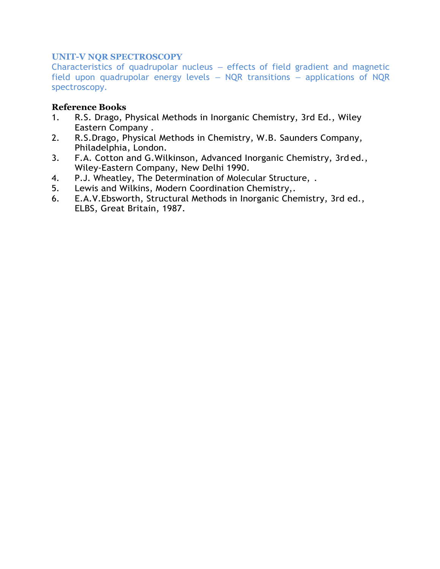## **UNIT-V NQR SPECTROSCOPY**

Characteristics of quadrupolar nucleus – effects of field gradient and magnetic field upon quadrupolar energy levels – NQR transitions – applications of NQR spectroscopy.

- 1. R.S. Drago, Physical Methods in Inorganic Chemistry, 3rd Ed., Wiley Eastern Company .
- 2. R.S.Drago, Physical Methods in Chemistry, W.B. Saunders Company, Philadelphia, London.
- 3. F.A. Cotton and G.Wilkinson, Advanced Inorganic Chemistry, 3rd ed., Wiley-Eastern Company, New Delhi 1990.
- 4. P.J. Wheatley, The Determination of Molecular Structure, .
- 5. Lewis and Wilkins, Modern Coordination Chemistry,.
- 6. E.A.V.Ebsworth, Structural Methods in Inorganic Chemistry, 3rd ed., ELBS, Great Britain, 1987.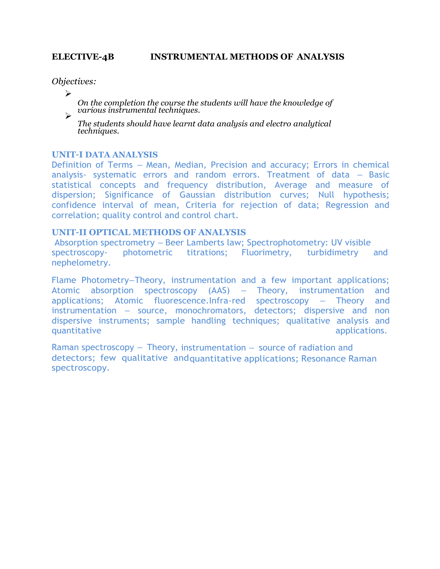#### **ELECTIVE-4B INSTRUMENTAL METHODS OF ANALYSIS**

*Objectives:*

➢

*On the completion the course the students will have the knowledge of various instrumental techniques.* 

*The students should have learnt data analysis and electro analytical techniques.*

#### **UNIT–I DATA ANALYSIS**

Definition of Terms – Mean, Median, Precision and accuracy; Errors in chemical analysis- systematic errors and random errors. Treatment of data – Basic statistical concepts and frequency distribution, Average and measure of dispersion; Significance of Gaussian distribution curves; Null hypothesis; confidence interval of mean, Criteria for rejection of data; Regression and correlation; quality control and control chart.

#### **UNIT–II OPTICAL METHODS OF ANALYSIS**

Absorption spectrometry – Beer Lamberts law; Spectrophotometry: UV visible spectroscopy- photometric titrations; Fluorimetry, turbidimetry and nephelometry.

Flame Photometry–Theory, instrumentation and a few important applications; Atomic absorption spectroscopy (AAS) – Theory, instrumentation and applications; Atomic fluorescence.Infra-red spectroscopy – Theory and instrumentation – source, monochromators, detectors; dispersive and non dispersive instruments; sample handling techniques; qualitative analysis and quantitative applications.

Raman spectroscopy – Theory, instrumentation – source of radiation and detectors; few qualitative andquantitative applications; Resonance Raman spectroscopy.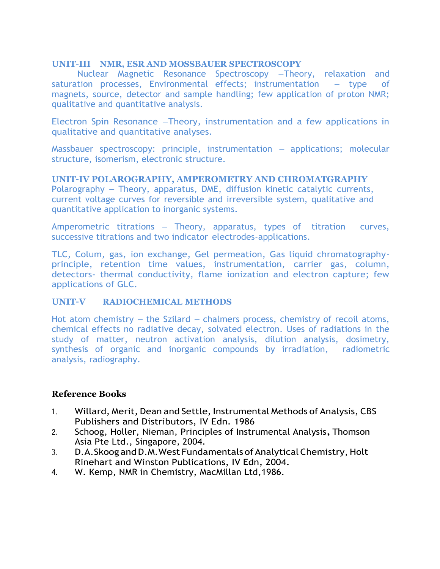#### **UNIT–III NMR, ESR AND MOSSBAUER SPECTROSCOPY**

Nuclear Magnetic Resonance Spectroscopy –Theory, relaxation and saturation processes, Environmental effects; instrumentation – type of magnets, source, detector and sample handling; few application of proton NMR; qualitative and quantitative analysis.

Electron Spin Resonance –Theory, instrumentation and a few applications in qualitative and quantitative analyses.

Massbauer spectroscopy: principle, instrumentation – applications; molecular structure, isomerism, electronic structure.

#### **UNIT–IV POLAROGRAPHY, AMPEROMETRY AND CHROMATGRAPHY**

Polarography – Theory, apparatus, DME, diffusion kinetic catalytic currents, current voltage curves for reversible and irreversible system, qualitative and quantitative application to inorganic systems.

Amperometric titrations – Theory, apparatus, types of titration curves, successive titrations and two indicator electrodes-applications.

TLC, Colum, gas, ion exchange, Gel permeation, Gas liquid chromatographyprinciple, retention time values, instrumentation, carrier gas, column, detectors- thermal conductivity, flame ionization and electron capture; few applications of GLC.

## **UNIT–V RADIOCHEMICAL METHODS**

Hot atom chemistry – the Szilard – chalmers process, chemistry of recoil atoms, chemical effects no radiative decay, solvated electron. Uses of radiations in the study of matter, neutron activation analysis, dilution analysis, dosimetry, synthesis of organic and inorganic compounds by irradiation, radiometric analysis, radiography.

- 1. Willard, Merit, Dean and Settle, Instrumental Methods of Analysis, CBS Publishers and Distributors, IV Edn. 1986
- 2. Schoog, Holler, Nieman, Principles of Instrumental Analysis**,** Thomson Asia Pte Ltd., Singapore, 2004.
- 3. D.A.Skoog and D.M. West Fundamentals of Analytical Chemistry, Holt Rinehart and Winston Publications, IV Edn, 2004.
- 4. W. Kemp, NMR in Chemistry, MacMillan Ltd,1986.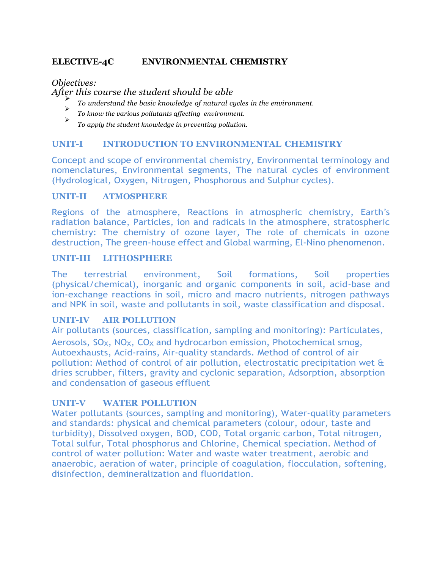## **ELECTIVE-4C ENVIRONMENTAL CHEMISTRY**

*Objectives:*

*After this course the student should be able*

- ➢ *To understand the basic knowledge of natural cycles in the environment.*
- ➢ *To know the various pollutants affecting environment.*
- ➢ *To apply the student knowledge in preventing pollution.*

### **UNIT-I INTRODUCTION TO ENVIRONMENTAL CHEMISTRY**

Concept and scope of environmental chemistry, Environmental terminology and nomenclatures, Environmental segments, The natural cycles of environment (Hydrological, Oxygen, Nitrogen, Phosphorous and Sulphur cycles).

#### **UNIT-II ATMOSPHERE**

Regions of the atmosphere, Reactions in atmospheric chemistry, Earth's radiation balance, Particles, ion and radicals in the atmosphere, stratospheric chemistry: The chemistry of ozone layer, The role of chemicals in ozone destruction, The green-house effect and Global warming, El-Nino phenomenon.

#### **UNIT-III LITHOSPHERE**

The terrestrial environment, Soil formations, Soil properties (physical/chemical), inorganic and organic components in soil, acid-base and ion-exchange reactions in soil, micro and macro nutrients, nitrogen pathways and NPK in soil, waste and pollutants in soil, waste classification and disposal.

## **UNIT-IV AIR POLLUTION**

Air pollutants (sources, classification, sampling and monitoring): Particulates, Aerosols,  $SO_{X}$ ,  $NO_{X}$ ,  $CO_{X}$  and hydrocarbon emission, Photochemical smog, Autoexhausts, Acid-rains, Air-quality standards. Method of control of air pollution: Method of control of air pollution, electrostatic precipitation wet & dries scrubber, filters, gravity and cyclonic separation, Adsorption, absorption and condensation of gaseous effluent

## **UNIT-V WATER POLLUTION**

Water pollutants (sources, sampling and monitoring), Water-quality parameters and standards: physical and chemical parameters (colour, odour, taste and turbidity), Dissolved oxygen, BOD, COD, Total organic carbon, Total nitrogen, Total sulfur, Total phosphorus and Chlorine, Chemical speciation. Method of control of water pollution: Water and waste water treatment, aerobic and anaerobic, aeration of water, principle of coagulation, flocculation, softening, disinfection, demineralization and fluoridation.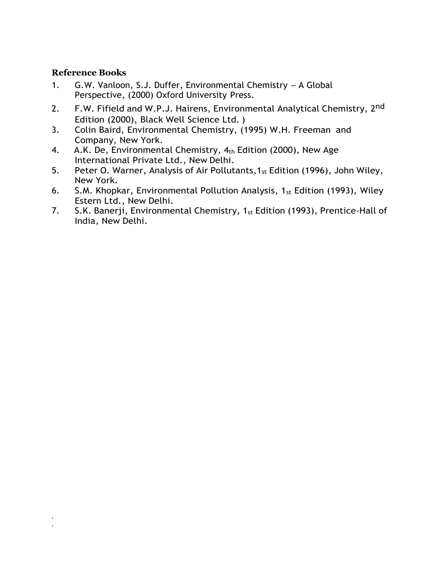#### **Reference Books**

. .

- 1. G.W. Vanloon, S.J. Duffer, Environmental Chemistry A Global Perspective, (2000) Oxford University Press.
- 2. F.W. Fifield and W.P.J. Hairens, Environmental Analytical Chemistry, 2<sup>nd</sup> Edition (2000), Black Well Science Ltd. )
- 3. Colin Baird, Environmental Chemistry, (1995) W.H. Freeman and Company, New York.
- 4. A.K. De, Environmental Chemistry, 4th Edition (2000), New Age International Private Ltd., New Delhi.
- 5. Peter O. Warner, Analysis of Air Pollutants,1st Edition (1996), John Wiley, New York.
- 6. S.M. Khopkar, Environmental Pollution Analysis,  $1_{st}$  Edition (1993), Wiley Estern Ltd., New Delhi.
- 7. S.K. Banerji, Environmental Chemistry, 1<sub>st</sub> Edition (1993), Prentice-Hall of India, New Delhi.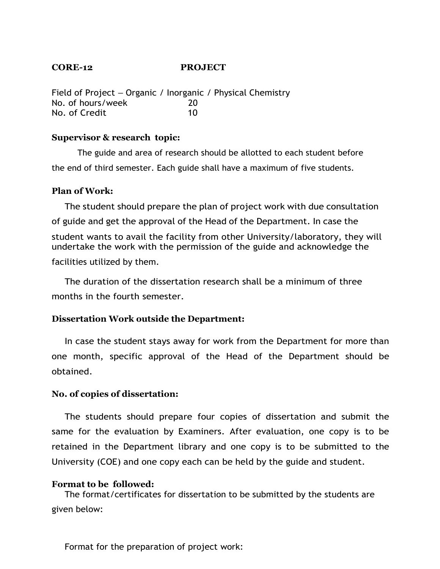# **CORE-12 PROJECT**

Field of Project – Organic / Inorganic / Physical Chemistry No. of hours/week 20 No. of Credit 10

#### **Supervisor & research topic:**

The guide and area of research should be allotted to each student before the end of third semester. Each guide shall have a maximum of five students.

#### **Plan of Work:**

The student should prepare the plan of project work with due consultation of guide and get the approval of the Head of the Department. In case the student wants to avail the facility from other University/laboratory, they will undertake the work with the permission of the guide and acknowledge the facilities utilized by them.

The duration of the dissertation research shall be a minimum of three months in the fourth semester.

## **Dissertation Work outside the Department:**

In case the student stays away for work from the Department for more than one month, specific approval of the Head of the Department should be obtained.

## **No. of copies of dissertation:**

The students should prepare four copies of dissertation and submit the same for the evaluation by Examiners. After evaluation, one copy is to be retained in the Department library and one copy is to be submitted to the University (COE) and one copy each can be held by the guide and student.

## **Format to be followed:**

The format/certificates for dissertation to be submitted by the students are given below:

Format for the preparation of project work: